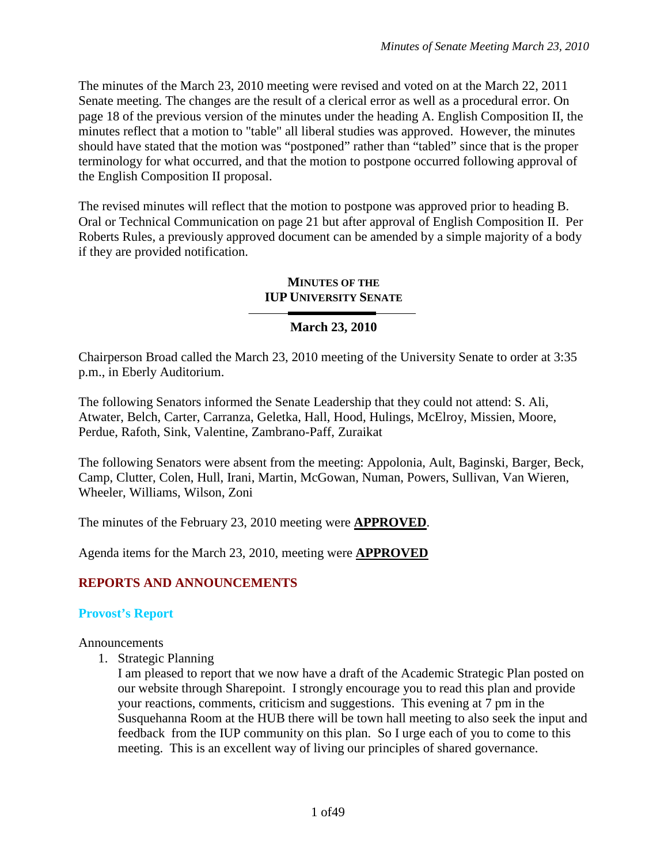The minutes of the March 23, 2010 meeting were revised and voted on at the March 22, 2011 Senate meeting. The changes are the result of a clerical error as well as a procedural error. On page 18 of the previous version of the minutes under the heading A. English Composition II, the minutes reflect that a motion to "table" all liberal studies was approved. However, the minutes should have stated that the motion was "postponed" rather than "tabled" since that is the proper terminology for what occurred, and that the motion to postpone occurred following approval of the English Composition II proposal.

The revised minutes will reflect that the motion to postpone was approved prior to heading B. Oral or Technical Communication on page 21 but after approval of English Composition II. Per Roberts Rules, a previously approved document can be amended by a simple majority of a body if they are provided notification.

#### **MINUTES OF THE IUP UNIVERSITY SENATE**

# **March 23, 2010**

Chairperson Broad called the March 23, 2010 meeting of the University Senate to order at 3:35 p.m., in Eberly Auditorium.

The following Senators informed the Senate Leadership that they could not attend: S. Ali, Atwater, Belch, Carter, Carranza, Geletka, Hall, Hood, Hulings, McElroy, Missien, Moore, Perdue, Rafoth, Sink, Valentine, Zambrano-Paff, Zuraikat

The following Senators were absent from the meeting: Appolonia, Ault, Baginski, Barger, Beck, Camp, Clutter, Colen, Hull, Irani, Martin, McGowan, Numan, Powers, Sullivan, Van Wieren, Wheeler, Williams, Wilson, Zoni

The minutes of the February 23, 2010 meeting were **APPROVED**.

Agenda items for the March 23, 2010, meeting were **APPROVED**

# **REPORTS AND ANNOUNCEMENTS**

#### **Provost's Report**

Announcements

1. Strategic Planning

I am pleased to report that we now have a draft of the Academic Strategic Plan posted on our website through Sharepoint. I strongly encourage you to read this plan and provide your reactions, comments, criticism and suggestions. This evening at 7 pm in the Susquehanna Room at the HUB there will be town hall meeting to also seek the input and feedback from the IUP community on this plan. So I urge each of you to come to this meeting. This is an excellent way of living our principles of shared governance.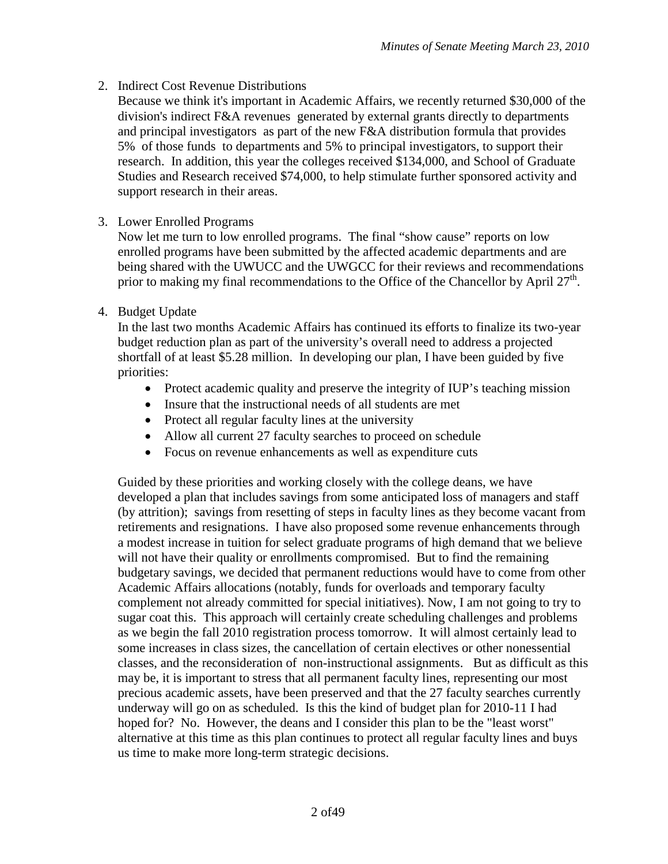# 2. Indirect Cost Revenue Distributions

Because we think it's important in Academic Affairs, we recently returned \$30,000 of the division's indirect F&A revenues generated by external grants directly to departments and principal investigators as part of the new F&A distribution formula that provides 5% of those funds to departments and 5% to principal investigators, to support their research. In addition, this year the colleges received \$134,000, and School of Graduate Studies and Research received \$74,000, to help stimulate further sponsored activity and support research in their areas.

# 3. Lower Enrolled Programs

Now let me turn to low enrolled programs. The final "show cause" reports on low enrolled programs have been submitted by the affected academic departments and are being shared with the UWUCC and the UWGCC for their reviews and recommendations prior to making my final recommendations to the Office of the Chancellor by April  $27<sup>th</sup>$ .

# 4. Budget Update

In the last two months Academic Affairs has continued its efforts to finalize its two-year budget reduction plan as part of the university's overall need to address a projected shortfall of at least \$5.28 million. In developing our plan, I have been guided by five priorities:

- Protect academic quality and preserve the integrity of IUP's teaching mission
- Insure that the instructional needs of all students are met
- Protect all regular faculty lines at the university
- Allow all current 27 faculty searches to proceed on schedule
- Focus on revenue enhancements as well as expenditure cuts

Guided by these priorities and working closely with the college deans, we have developed a plan that includes savings from some anticipated loss of managers and staff (by attrition); savings from resetting of steps in faculty lines as they become vacant from retirements and resignations. I have also proposed some revenue enhancements through a modest increase in tuition for select graduate programs of high demand that we believe will not have their quality or enrollments compromised. But to find the remaining budgetary savings, we decided that permanent reductions would have to come from other Academic Affairs allocations (notably, funds for overloads and temporary faculty complement not already committed for special initiatives). Now, I am not going to try to sugar coat this. This approach will certainly create scheduling challenges and problems as we begin the fall 2010 registration process tomorrow. It will almost certainly lead to some increases in class sizes, the cancellation of certain electives or other nonessential classes, and the reconsideration of non-instructional assignments. But as difficult as this may be, it is important to stress that all permanent faculty lines, representing our most precious academic assets, have been preserved and that the 27 faculty searches currently underway will go on as scheduled. Is this the kind of budget plan for 2010-11 I had hoped for? No. However, the deans and I consider this plan to be the "least worst" alternative at this time as this plan continues to protect all regular faculty lines and buys us time to make more long-term strategic decisions.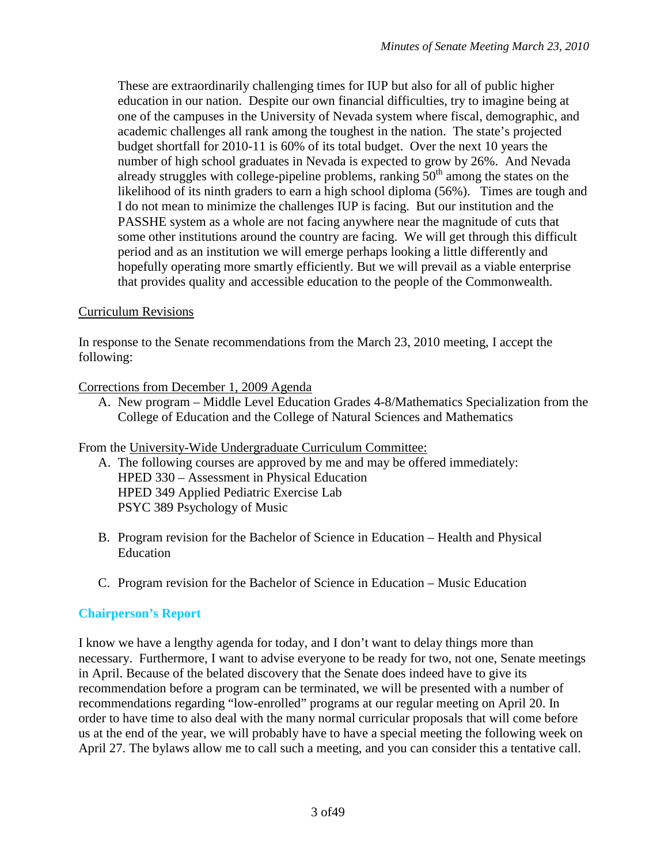These are extraordinarily challenging times for IUP but also for all of public higher education in our nation. Despite our own financial difficulties, try to imagine being at one of the campuses in the University of Nevada system where fiscal, demographic, and academic challenges all rank among the toughest in the nation. The state's projected budget shortfall for 2010-11 is 60% of its total budget. Over the next 10 years the number of high school graduates in Nevada is expected to grow by 26%. And Nevada already struggles with college-pipeline problems, ranking  $50<sup>th</sup>$  among the states on the likelihood of its ninth graders to earn a high school diploma (56%). Times are tough and I do not mean to minimize the challenges IUP is facing. But our institution and the PASSHE system as a whole are not facing anywhere near the magnitude of cuts that some other institutions around the country are facing. We will get through this difficult period and as an institution we will emerge perhaps looking a little differently and hopefully operating more smartly efficiently. But we will prevail as a viable enterprise that provides quality and accessible education to the people of the Commonwealth.

# Curriculum Revisions

In response to the Senate recommendations from the March 23, 2010 meeting, I accept the following:

# Corrections from December 1, 2009 Agenda

A. New program – Middle Level Education Grades 4-8/Mathematics Specialization from the College of Education and the College of Natural Sciences and Mathematics

# From the University-Wide Undergraduate Curriculum Committee:

- A. The following courses are approved by me and may be offered immediately: HPED 330 – Assessment in Physical Education HPED 349 Applied Pediatric Exercise Lab PSYC 389 Psychology of Music
- B. Program revision for the Bachelor of Science in Education Health and Physical Education
- C. Program revision for the Bachelor of Science in Education Music Education

# **Chairperson's Report**

I know we have a lengthy agenda for today, and I don't want to delay things more than necessary. Furthermore, I want to advise everyone to be ready for two, not one, Senate meetings in April. Because of the belated discovery that the Senate does indeed have to give its recommendation before a program can be terminated, we will be presented with a number of recommendations regarding "low-enrolled" programs at our regular meeting on April 20. In order to have time to also deal with the many normal curricular proposals that will come before us at the end of the year, we will probably have to have a special meeting the following week on April 27. The bylaws allow me to call such a meeting, and you can consider this a tentative call.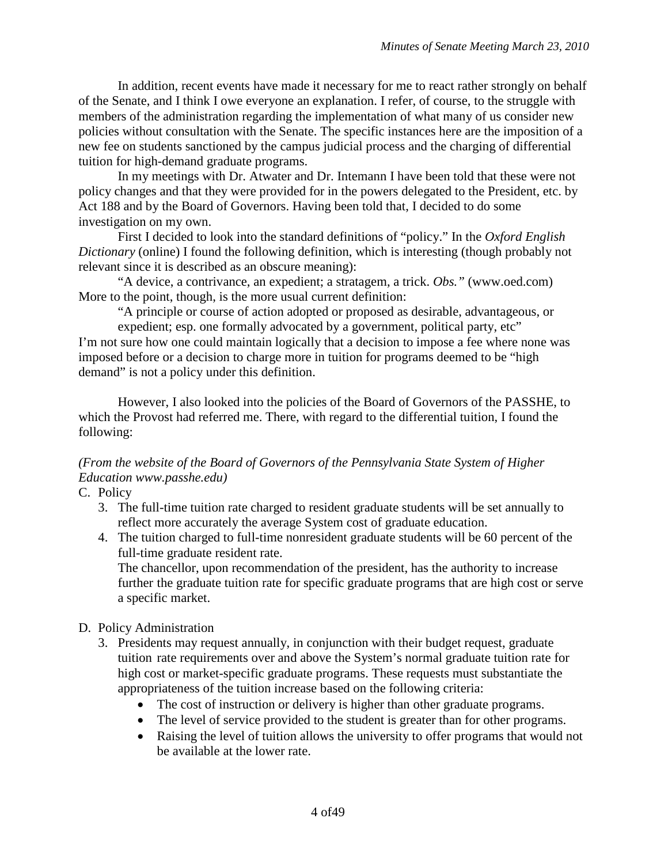In addition, recent events have made it necessary for me to react rather strongly on behalf of the Senate, and I think I owe everyone an explanation. I refer, of course, to the struggle with members of the administration regarding the implementation of what many of us consider new policies without consultation with the Senate. The specific instances here are the imposition of a new fee on students sanctioned by the campus judicial process and the charging of differential tuition for high-demand graduate programs.

In my meetings with Dr. Atwater and Dr. Intemann I have been told that these were not policy changes and that they were provided for in the powers delegated to the President, etc. by Act 188 and by the Board of Governors. Having been told that, I decided to do some investigation on my own.

First I decided to look into the standard definitions of "policy." In the *Oxford English Dictionary* (online) I found the following definition, which is interesting (though probably not relevant since it is described as an obscure meaning):

"A device, a contrivance, an expedient; a stratagem, a trick. *Obs."* (www.oed.com) More to the point, though, is the more usual current definition:

"A principle or course of action adopted or proposed as desirable, advantageous, or expedient; esp. one formally advocated by a government, political party, etc" I'm not sure how one could maintain logically that a decision to impose a fee where none was imposed before or a decision to charge more in tuition for programs deemed to be "high demand" is not a policy under this definition.

However, I also looked into the policies of the Board of Governors of the PASSHE, to which the Provost had referred me. There, with regard to the differential tuition, I found the following:

# *(From the website of the Board of Governors of the Pennsylvania State System of Higher Education www.passhe.edu)*

C. Policy

- 3. The full-time tuition rate charged to resident graduate students will be set annually to reflect more accurately the average System cost of graduate education.
- 4. The tuition charged to full-time nonresident graduate students will be 60 percent of the full-time graduate resident rate.

The chancellor, upon recommendation of the president, has the authority to increase further the graduate tuition rate for specific graduate programs that are high cost or serve a specific market.

# D. Policy Administration

- 3. Presidents may request annually, in conjunction with their budget request, graduate tuition rate requirements over and above the System's normal graduate tuition rate for high cost or market-specific graduate programs. These requests must substantiate the appropriateness of the tuition increase based on the following criteria:
	- The cost of instruction or delivery is higher than other graduate programs.
	- The level of service provided to the student is greater than for other programs.
	- Raising the level of tuition allows the university to offer programs that would not be available at the lower rate.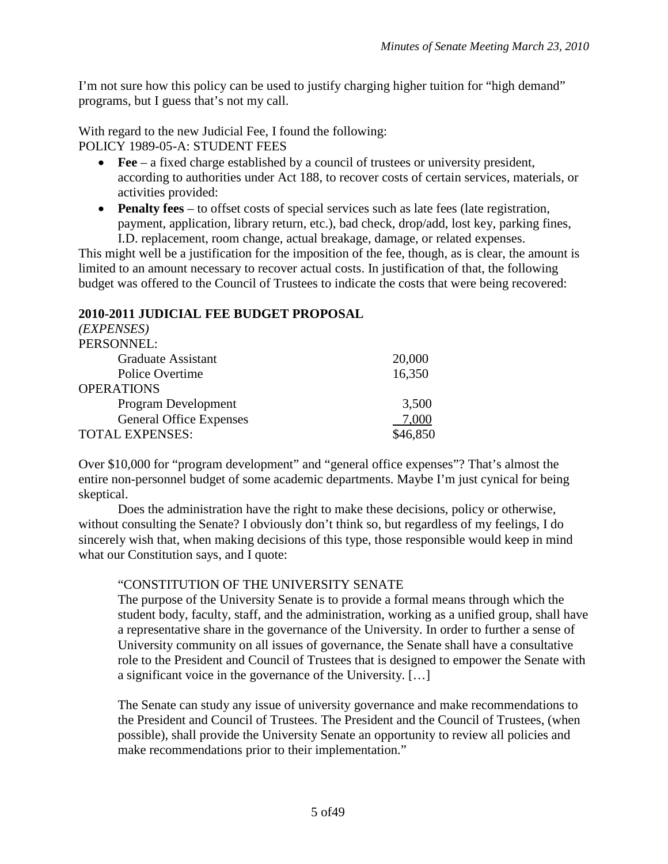I'm not sure how this policy can be used to justify charging higher tuition for "high demand" programs, but I guess that's not my call.

With regard to the new Judicial Fee, I found the following: POLICY 1989-05-A: STUDENT FEES

- **Fee** a fixed charge established by a council of trustees or university president, according to authorities under Act 188, to recover costs of certain services, materials, or activities provided:
- **Penalty fees** to offset costs of special services such as late fees (late registration, payment, application, library return, etc.), bad check, drop/add, lost key, parking fines, I.D. replacement, room change, actual breakage, damage, or related expenses.

This might well be a justification for the imposition of the fee, though, as is clear, the amount is limited to an amount necessary to recover actual costs. In justification of that, the following budget was offered to the Council of Trustees to indicate the costs that were being recovered:

# **2010-2011 JUDICIAL FEE BUDGET PROPOSAL**

| ( <i>EXPENSES</i> )            |          |
|--------------------------------|----------|
| PERSONNEL:                     |          |
| <b>Graduate Assistant</b>      | 20,000   |
| Police Overtime                | 16,350   |
| <b>OPERATIONS</b>              |          |
| Program Development            | 3,500    |
| <b>General Office Expenses</b> | 7,000    |
| TOTAL EXPENSES:                | \$46,850 |

Over \$10,000 for "program development" and "general office expenses"? That's almost the entire non-personnel budget of some academic departments. Maybe I'm just cynical for being skeptical.

Does the administration have the right to make these decisions, policy or otherwise, without consulting the Senate? I obviously don't think so, but regardless of my feelings, I do sincerely wish that, when making decisions of this type, those responsible would keep in mind what our Constitution says, and I quote:

# "CONSTITUTION OF THE UNIVERSITY SENATE

The purpose of the University Senate is to provide a formal means through which the student body, faculty, staff, and the administration, working as a unified group, shall have a representative share in the governance of the University. In order to further a sense of University community on all issues of governance, the Senate shall have a consultative role to the President and Council of Trustees that is designed to empower the Senate with a significant voice in the governance of the University. […]

The Senate can study any issue of university governance and make recommendations to the President and Council of Trustees. The President and the Council of Trustees, (when possible), shall provide the University Senate an opportunity to review all policies and make recommendations prior to their implementation."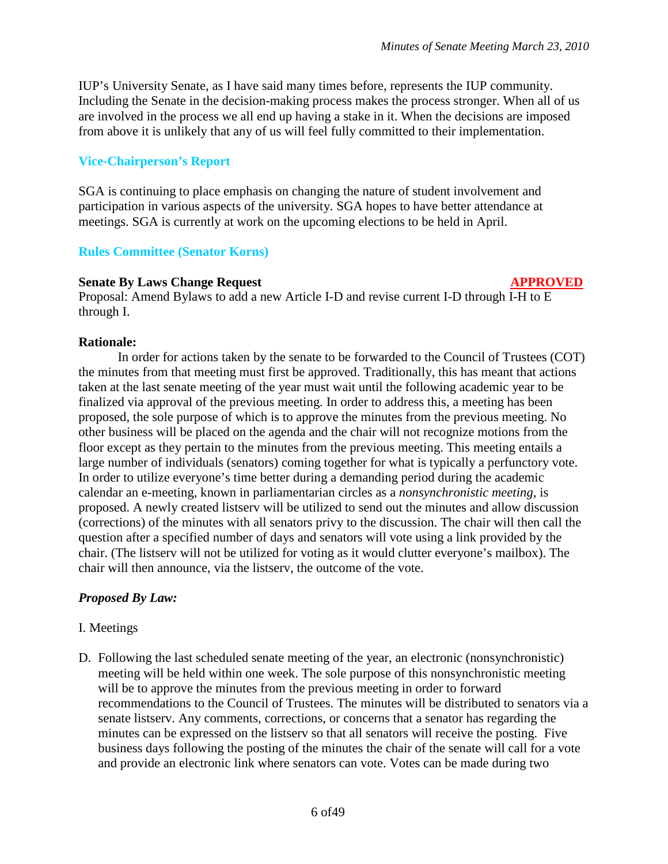IUP's University Senate, as I have said many times before, represents the IUP community. Including the Senate in the decision-making process makes the process stronger. When all of us are involved in the process we all end up having a stake in it. When the decisions are imposed from above it is unlikely that any of us will feel fully committed to their implementation.

# **Vice-Chairperson's Report**

SGA is continuing to place emphasis on changing the nature of student involvement and participation in various aspects of the university. SGA hopes to have better attendance at meetings. SGA is currently at work on the upcoming elections to be held in April.

# **Rules Committee (Senator Korns)**

#### **Senate By Laws Change Request APPROVED**

Proposal: Amend Bylaws to add a new Article I-D and revise current I-D through I-H to E through I.

#### **Rationale:**

In order for actions taken by the senate to be forwarded to the Council of Trustees (COT) the minutes from that meeting must first be approved. Traditionally, this has meant that actions taken at the last senate meeting of the year must wait until the following academic year to be finalized via approval of the previous meeting. In order to address this, a meeting has been proposed, the sole purpose of which is to approve the minutes from the previous meeting. No other business will be placed on the agenda and the chair will not recognize motions from the floor except as they pertain to the minutes from the previous meeting. This meeting entails a large number of individuals (senators) coming together for what is typically a perfunctory vote. In order to utilize everyone's time better during a demanding period during the academic calendar an e-meeting, known in parliamentarian circles as a *nonsynchronistic meeting*, is proposed. A newly created listserv will be utilized to send out the minutes and allow discussion (corrections) of the minutes with all senators privy to the discussion. The chair will then call the question after a specified number of days and senators will vote using a link provided by the chair. (The listserv will not be utilized for voting as it would clutter everyone's mailbox). The chair will then announce, via the listserv, the outcome of the vote.

# *Proposed By Law:*

# I. Meetings

D. Following the last scheduled senate meeting of the year, an electronic (nonsynchronistic) meeting will be held within one week. The sole purpose of this nonsynchronistic meeting will be to approve the minutes from the previous meeting in order to forward recommendations to the Council of Trustees. The minutes will be distributed to senators via a senate listserv. Any comments, corrections, or concerns that a senator has regarding the minutes can be expressed on the listserv so that all senators will receive the posting. Five business days following the posting of the minutes the chair of the senate will call for a vote and provide an electronic link where senators can vote. Votes can be made during two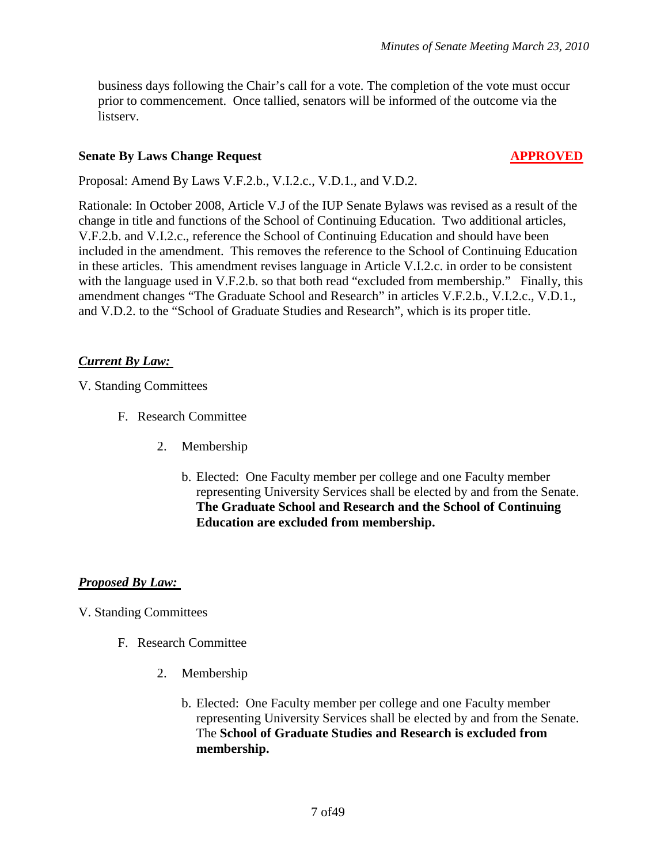business days following the Chair's call for a vote. The completion of the vote must occur prior to commencement. Once tallied, senators will be informed of the outcome via the listserv.

#### **Senate By Laws Change Request APPROVED**

Proposal: Amend By Laws V.F.2.b., V.I.2.c., V.D.1., and V.D.2.

Rationale: In October 2008, Article V.J of the IUP Senate Bylaws was revised as a result of the change in title and functions of the School of Continuing Education. Two additional articles, V.F.2.b. and V.I.2.c., reference the School of Continuing Education and should have been included in the amendment. This removes the reference to the School of Continuing Education in these articles. This amendment revises language in Article V.I.2.c. in order to be consistent with the language used in V.F.2.b. so that both read "excluded from membership." Finally, this amendment changes "The Graduate School and Research" in articles V.F.2.b., V.I.2.c., V.D.1., and V.D.2. to the "School of Graduate Studies and Research", which is its proper title.

# *Current By Law:*

V. Standing Committees

- F. Research Committee
	- 2. Membership
		- b. Elected: One Faculty member per college and one Faculty member representing University Services shall be elected by and from the Senate. **The Graduate School and Research and the School of Continuing Education are excluded from membership.**

# *Proposed By Law:*

V. Standing Committees

- F. Research Committee
	- 2. Membership
		- b. Elected: One Faculty member per college and one Faculty member representing University Services shall be elected by and from the Senate. The **School of Graduate Studies and Research is excluded from membership.**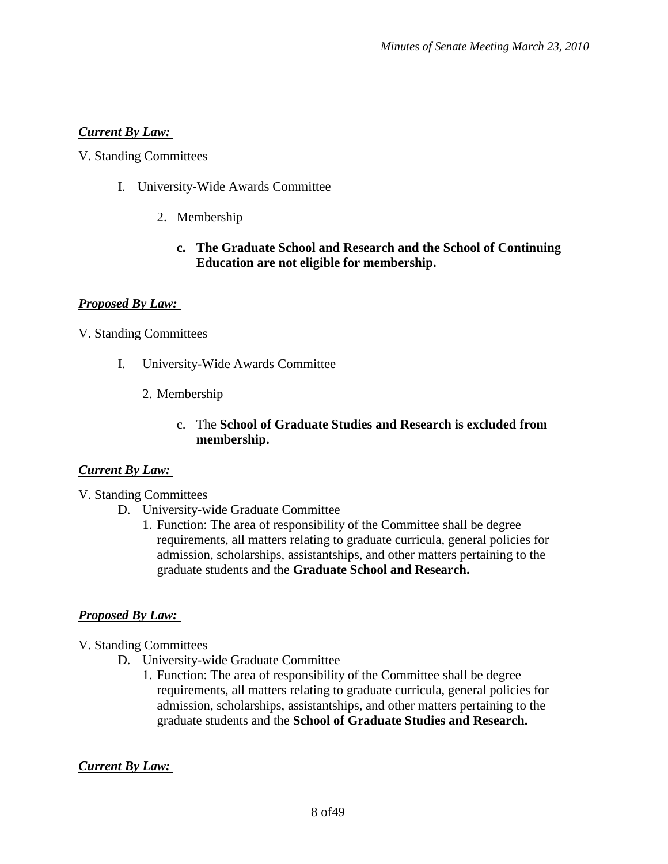# *Current By Law:*

V. Standing Committees

- I. University-Wide Awards Committee
	- 2. Membership

#### **c. The Graduate School and Research and the School of Continuing Education are not eligible for membership.**

# *Proposed By Law:*

# V. Standing Committees

- I. University-Wide Awards Committee
	- 2. Membership

# c. The **School of Graduate Studies and Research is excluded from membership.**

# *Current By Law:*

- V. Standing Committees
	- D. University-wide Graduate Committee
		- 1. Function: The area of responsibility of the Committee shall be degree requirements, all matters relating to graduate curricula, general policies for admission, scholarships, assistantships, and other matters pertaining to the graduate students and the **Graduate School and Research.**

# *Proposed By Law:*

- V. Standing Committees
	- D. University-wide Graduate Committee
		- 1. Function: The area of responsibility of the Committee shall be degree requirements, all matters relating to graduate curricula, general policies for admission, scholarships, assistantships, and other matters pertaining to the graduate students and the **School of Graduate Studies and Research.**

# *Current By Law:*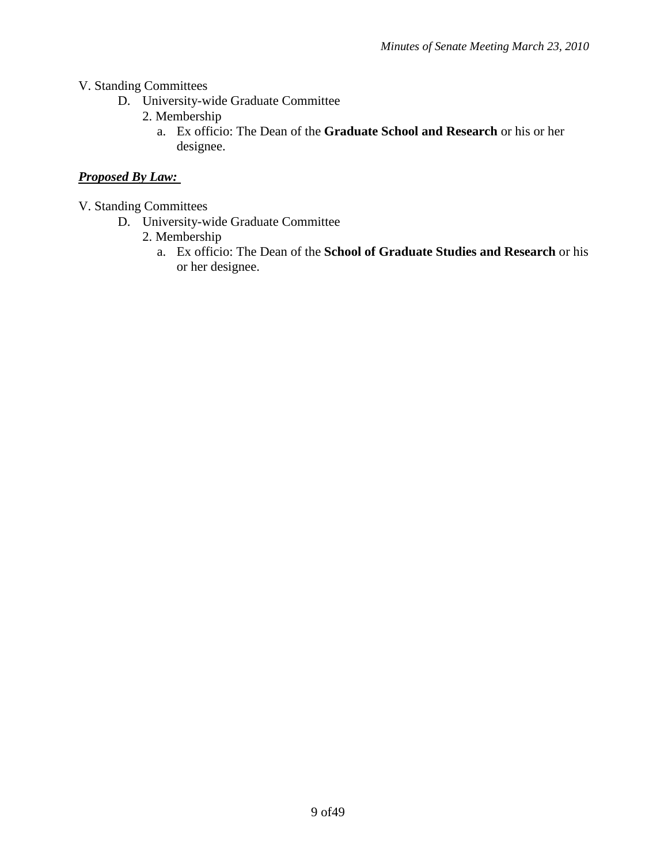- V. Standing Committees
	- D. University-wide Graduate Committee
		- 2. Membership
			- a. Ex officio: The Dean of the **Graduate School and Research** or his or her designee.

# *Proposed By Law:*

- V. Standing Committees
	- D. University-wide Graduate Committee
		- 2. Membership
			- a. Ex officio: The Dean of the **School of Graduate Studies and Research** or his or her designee.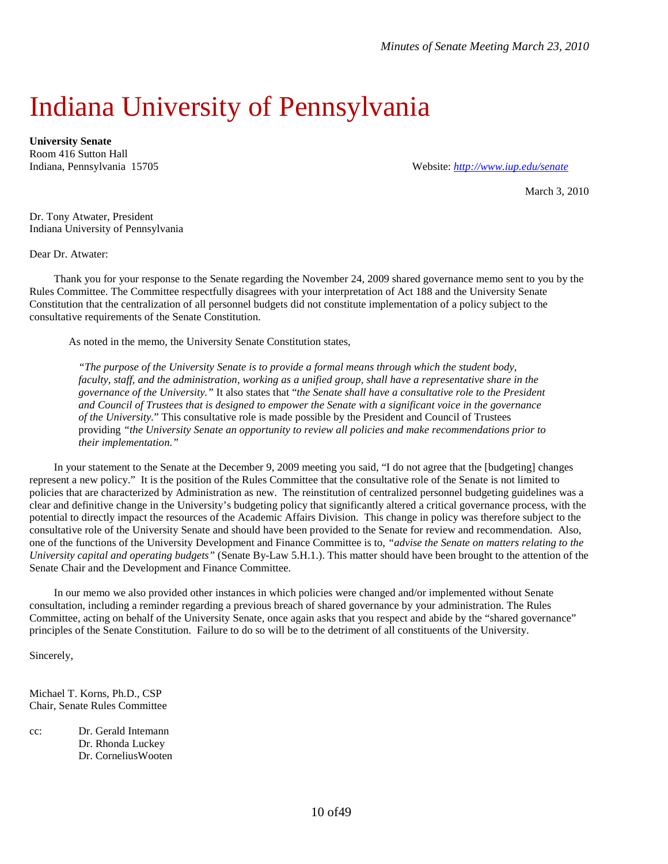# Indiana University of Pennsylvania

**University Senate** Room 416 Sutton Hall

Indiana, Pennsylvania 15705 Website: *<http://www.iup.edu/senate>*

March 3, 2010

Dr. Tony Atwater, President Indiana University of Pennsylvania

Dear Dr. Atwater:

Thank you for your response to the Senate regarding the November 24, 2009 shared governance memo sent to you by the Rules Committee. The Committee respectfully disagrees with your interpretation of Act 188 and the University Senate Constitution that the centralization of all personnel budgets did not constitute implementation of a policy subject to the consultative requirements of the Senate Constitution.

As noted in the memo, the University Senate Constitution states,

*"The purpose of the University Senate is to provide a formal means through which the student body, faculty, staff, and the administration, working as a unified group, shall have a representative share in the governance of the University."* It also states that "*the Senate shall have a consultative role to the President and Council of Trustees that is designed to empower the Senate with a significant voice in the governance of the University.*" This consultative role is made possible by the President and Council of Trustees providing *"the University Senate an opportunity to review all policies and make recommendations prior to their implementation."*

In your statement to the Senate at the December 9, 2009 meeting you said, "I do not agree that the [budgeting] changes represent a new policy." It is the position of the Rules Committee that the consultative role of the Senate is not limited to policies that are characterized by Administration as new. The reinstitution of centralized personnel budgeting guidelines was a clear and definitive change in the University's budgeting policy that significantly altered a critical governance process, with the potential to directly impact the resources of the Academic Affairs Division. This change in policy was therefore subject to the consultative role of the University Senate and should have been provided to the Senate for review and recommendation. Also, one of the functions of the University Development and Finance Committee is to, *"advise the Senate on matters relating to the University capital and operating budgets"* (Senate By-Law 5.H.1.). This matter should have been brought to the attention of the Senate Chair and the Development and Finance Committee.

In our memo we also provided other instances in which policies were changed and/or implemented without Senate consultation, including a reminder regarding a previous breach of shared governance by your administration. The Rules Committee, acting on behalf of the University Senate, once again asks that you respect and abide by the "shared governance" principles of the Senate Constitution. Failure to do so will be to the detriment of all constituents of the University.

Sincerely,

Michael T. Korns, Ph.D., CSP Chair, Senate Rules Committee

cc: Dr. Gerald Intemann Dr. Rhonda Luckey Dr. CorneliusWooten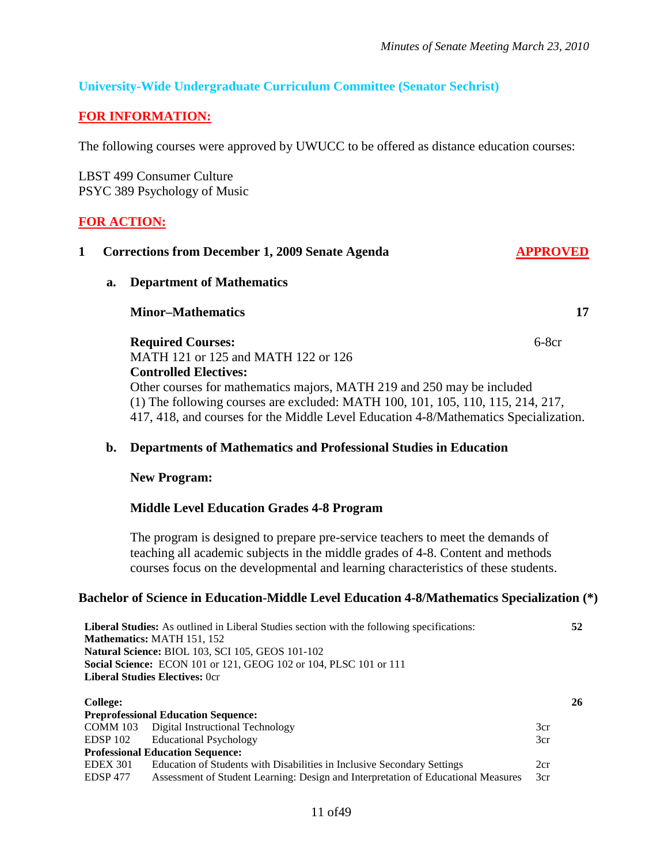**52**

# **University-Wide Undergraduate Curriculum Committee (Senator Sechrist)**

# **FOR INFORMATION:**

The following courses were approved by UWUCC to be offered as distance education courses:

LBST 499 Consumer Culture PSYC 389 Psychology of Music

# **FOR ACTION:**

|  |    | <b>Corrections from December 1, 2009 Senate Agenda</b>                               |         |
|--|----|--------------------------------------------------------------------------------------|---------|
|  | a. | <b>Department of Mathematics</b>                                                     |         |
|  |    | <b>Minor–Mathematics</b>                                                             | 17      |
|  |    | <b>Required Courses:</b>                                                             | $6-8cr$ |
|  |    | MATH 121 or 125 and MATH 122 or 126                                                  |         |
|  |    | <b>Controlled Electives:</b>                                                         |         |
|  |    | Other courses for mathematics majors, MATH 219 and 250 may be included               |         |
|  |    | (1) The following courses are excluded: MATH 100, 101, 105, 110, 115, 214, 217,      |         |
|  |    | 417, 418, and courses for the Middle Level Education 4-8/Mathematics Specialization. |         |

#### **b. Departments of Mathematics and Professional Studies in Education**

#### **New Program:**

#### **Middle Level Education Grades 4-8 Program**

**Liberal Studies:** As outlined in Liberal Studies section with the following specifications:

The program is designed to prepare pre-service teachers to meet the demands of teaching all academic subjects in the middle grades of 4-8. Content and methods courses focus on the developmental and learning characteristics of these students.

#### **Bachelor of Science in Education-Middle Level Education 4-8/Mathematics Specialization (\*)**

| <b>Mathematics: MATH 151, 152</b>     |                                                                                   |     |  |
|---------------------------------------|-----------------------------------------------------------------------------------|-----|--|
|                                       | Natural Science: BIOL 103, SCI 105, GEOS 101-102                                  |     |  |
|                                       | <b>Social Science:</b> ECON 101 or 121, GEOG 102 or 104, PLSC 101 or 111          |     |  |
| <b>Liberal Studies Electives: Ocr</b> |                                                                                   |     |  |
|                                       |                                                                                   |     |  |
| <b>College:</b>                       |                                                                                   | 26  |  |
|                                       | <b>Preprofessional Education Sequence:</b>                                        |     |  |
| COMM 103                              | Digital Instructional Technology                                                  | 3cr |  |
| EDSP 102                              | <b>Educational Psychology</b>                                                     | 3cr |  |
|                                       | <b>Professional Education Sequence:</b>                                           |     |  |
| <b>EDEX 301</b>                       | Education of Students with Disabilities in Inclusive Secondary Settings           | 2cr |  |
| <b>EDSP 477</b>                       | Assessment of Student Learning: Design and Interpretation of Educational Measures | 3cr |  |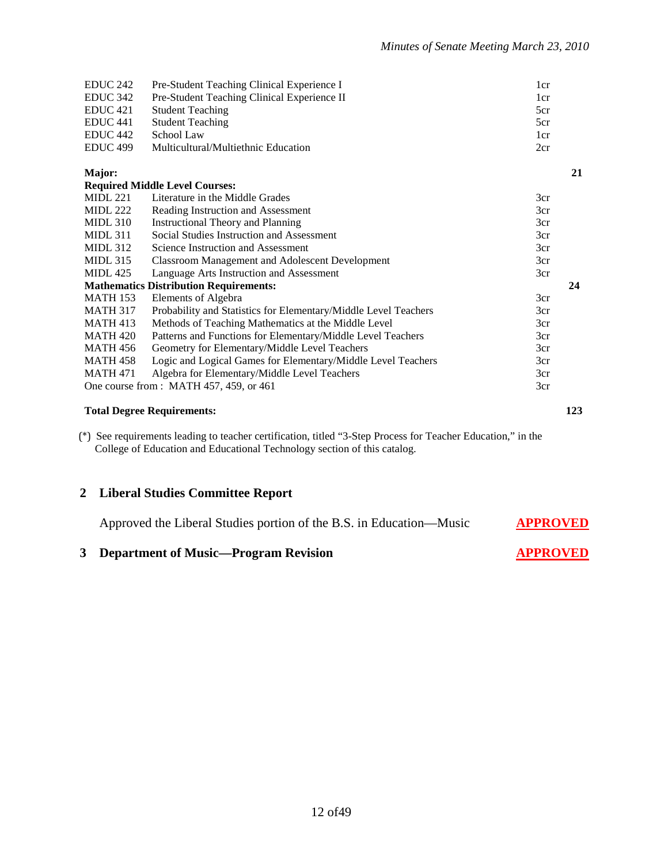| EDUC <sub>242</sub> | Pre-Student Teaching Clinical Experience I                      | 1 <sub>cr</sub> |
|---------------------|-----------------------------------------------------------------|-----------------|
| EDUC 342            | Pre-Student Teaching Clinical Experience II                     | 1 <sub>cr</sub> |
| EDUC <sub>421</sub> | <b>Student Teaching</b>                                         | 5cr             |
| <b>EDUC 441</b>     | <b>Student Teaching</b>                                         | 5cr             |
| EDUC <sub>442</sub> | School Law                                                      | 1cr             |
| EDUC <sub>499</sub> | Multicultural/Multiethnic Education                             | 2cr             |
| Major:              |                                                                 | 21              |
|                     | <b>Required Middle Level Courses:</b>                           |                 |
| <b>MIDL 221</b>     | Literature in the Middle Grades                                 | 3cr             |
| <b>MIDL 222</b>     | Reading Instruction and Assessment                              | 3cr             |
| <b>MIDL 310</b>     | <b>Instructional Theory and Planning</b>                        | 3cr             |
| <b>MIDL 311</b>     | Social Studies Instruction and Assessment                       | 3cr             |
| <b>MIDL 312</b>     | Science Instruction and Assessment                              | 3cr             |
| <b>MIDL 315</b>     | <b>Classroom Management and Adolescent Development</b>          | 3cr             |
| <b>MIDL</b> 425     | Language Arts Instruction and Assessment                        | 3cr             |
|                     | <b>Mathematics Distribution Requirements:</b>                   | 24              |
| <b>MATH 153</b>     | Elements of Algebra                                             | 3cr             |
| <b>MATH 317</b>     | Probability and Statistics for Elementary/Middle Level Teachers | 3cr             |
| <b>MATH 413</b>     | Methods of Teaching Mathematics at the Middle Level             | 3cr             |
| <b>MATH 420</b>     | Patterns and Functions for Elementary/Middle Level Teachers     | 3cr             |
| <b>MATH 456</b>     | Geometry for Elementary/Middle Level Teachers                   | 3cr             |
| <b>MATH 458</b>     | Logic and Logical Games for Elementary/Middle Level Teachers    | 3cr             |
| <b>MATH 471</b>     | Algebra for Elementary/Middle Level Teachers                    | 3cr             |
|                     | One course from: MATH 457, 459, or 461                          | 3cr             |
|                     |                                                                 |                 |

#### **Total Degree Requirements: 123**

(\*) See requirements leading to teacher certification, titled "3-Step Process for Teacher Education," in the College of Education and Educational Technology section of this catalog.

#### **2 Liberal Studies Committee Report**

Approved the Liberal Studies portion of the B.S. in Education—Music **APPROVED**

#### **3 Department of Music—Program Revision APPROVED**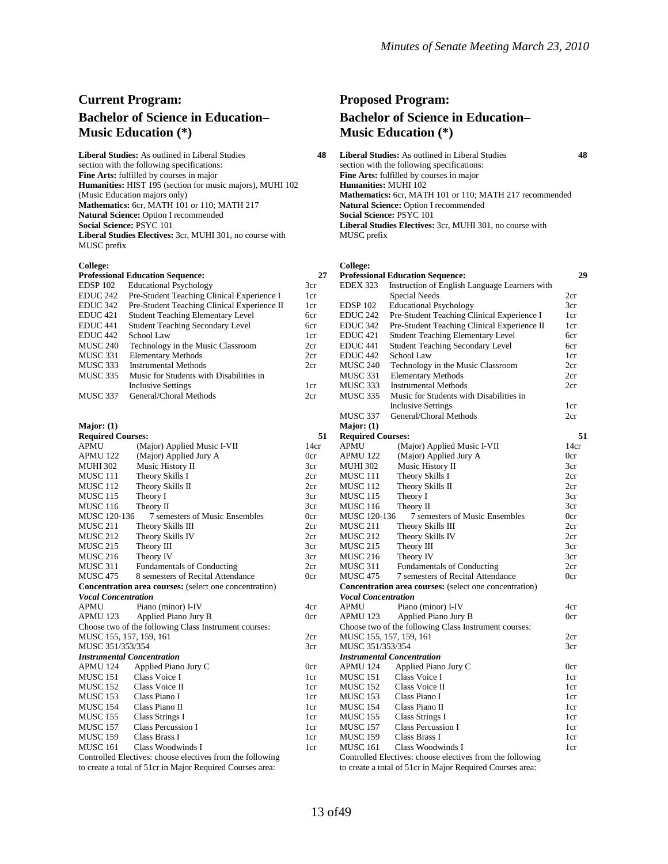# **Current Program: Bachelor of Science in Education– Music Education (\*)**

**Liberal Studies:** As outlined in Liberal Studies **48** section with the following specifications: **Fine Arts:** fulfilled by courses in major **Humanities:** HIST 195 (section for music majors), MUHI 102 (Music Education majors only) **Mathematics:** 6cr, MATH 101 or 110; MATH 217 **Natural Science:** Option I recommended **Social Science:** PSYC 101 **Liberal Studies Electives:** 3cr, MUHI 301, no course with MUSC prefix

#### **College:**

| <b>Professional Education Sequence:</b> |                                             |  |  |
|-----------------------------------------|---------------------------------------------|--|--|
| EDSP <sub>102</sub>                     | <b>Educational Psychology</b>               |  |  |
| EDUC <sub>242</sub>                     | Pre-Student Teaching Clinical Experience I  |  |  |
| EDUC 342                                | Pre-Student Teaching Clinical Experience II |  |  |
| EDUC <sub>421</sub>                     | <b>Student Teaching Elementary Level</b>    |  |  |
| EDUC <sub>441</sub>                     | <b>Student Teaching Secondary Level</b>     |  |  |
| EDUC <sub>442</sub>                     | School Law                                  |  |  |
| <b>MUSC 240</b>                         | Technology in the Music Classroom           |  |  |
| <b>MUSC 331</b>                         | <b>Elementary Methods</b>                   |  |  |
| <b>MUSC 333</b>                         | <b>Instrumental Methods</b>                 |  |  |
| <b>MUSC 335</b>                         | Music for Students with Disabilities in     |  |  |
|                                         | <b>Inclusive Settings</b>                   |  |  |
| <b>MUSC 337</b>                         | General/Choral Methods                      |  |  |
|                                         |                                             |  |  |

#### **Major: (1)**

| <b>Required Courses:</b>          |                                                                                                                                                                                                                                                                                                                                                |
|-----------------------------------|------------------------------------------------------------------------------------------------------------------------------------------------------------------------------------------------------------------------------------------------------------------------------------------------------------------------------------------------|
| <b>APMU</b>                       | (Major) Applied Music I-VII                                                                                                                                                                                                                                                                                                                    |
| APMU 122                          | (Major) Applied Jury A                                                                                                                                                                                                                                                                                                                         |
| <b>MUHI 302</b>                   | Music History II                                                                                                                                                                                                                                                                                                                               |
| MUSC <sub>111</sub>               | Theory Skills I                                                                                                                                                                                                                                                                                                                                |
| <b>MUSC 112</b>                   | Theory Skills II                                                                                                                                                                                                                                                                                                                               |
| <b>MUSC 115</b>                   | Theory I                                                                                                                                                                                                                                                                                                                                       |
| <b>MUSC 116</b>                   | Theory II                                                                                                                                                                                                                                                                                                                                      |
| <b>MUSC 120-136</b>               | 7 semesters of Music Ensembles                                                                                                                                                                                                                                                                                                                 |
| <b>MUSC 211</b>                   | Theory Skills III                                                                                                                                                                                                                                                                                                                              |
| <b>MUSC 212</b>                   | Theory Skills IV                                                                                                                                                                                                                                                                                                                               |
| <b>MUSC 215</b>                   | Theory III                                                                                                                                                                                                                                                                                                                                     |
| <b>MUSC 216</b>                   | Theory IV                                                                                                                                                                                                                                                                                                                                      |
| <b>MUSC 311</b>                   | <b>Fundamentals of Conducting</b>                                                                                                                                                                                                                                                                                                              |
| <b>MUSC 475</b>                   | 8 semesters of Recital Attendance                                                                                                                                                                                                                                                                                                              |
|                                   | <b>Concentration area courses:</b> (select one concentration)                                                                                                                                                                                                                                                                                  |
| <b>Vocal Concentration</b>        |                                                                                                                                                                                                                                                                                                                                                |
| APMU                              | Piano (minor) I-IV                                                                                                                                                                                                                                                                                                                             |
| APMU 123                          | Applied Piano Jury B                                                                                                                                                                                                                                                                                                                           |
|                                   | Choose two of the following Class Instrument courses:                                                                                                                                                                                                                                                                                          |
| MUSC 155, 157, 159, 161           |                                                                                                                                                                                                                                                                                                                                                |
| MUSC 351/353/354                  |                                                                                                                                                                                                                                                                                                                                                |
| <b>Instrumental Concentration</b> |                                                                                                                                                                                                                                                                                                                                                |
| APMU 124                          | Applied Piano Jury C                                                                                                                                                                                                                                                                                                                           |
| MUSC 151                          | Class Voice I                                                                                                                                                                                                                                                                                                                                  |
| MUSC 152                          | Class Voice II                                                                                                                                                                                                                                                                                                                                 |
| MUSC 153                          | Class Piano I                                                                                                                                                                                                                                                                                                                                  |
| MUSC 154                          | Class Piano II                                                                                                                                                                                                                                                                                                                                 |
| MUSC 155                          | <b>Class Strings I</b>                                                                                                                                                                                                                                                                                                                         |
| MUSC 157                          | Class Percussion I                                                                                                                                                                                                                                                                                                                             |
| MUSC 159                          | Class Brass I                                                                                                                                                                                                                                                                                                                                  |
| <b>MUSC 161</b>                   | Class Woodwinds I<br>$C$ - a fact $\Gamma$ and $\Gamma$ $\Gamma$ and $\Gamma$ and $\Gamma$ are a fact of $\Gamma$ and $\Gamma$ and $\Gamma$ and $\Gamma$ and $\Gamma$ and $\Gamma$ and $\Gamma$ and $\Gamma$ and $\Gamma$ and $\Gamma$ and $\Gamma$ and $\Gamma$ and $\Gamma$ and $\Gamma$ and $\Gamma$ and $\Gamma$ and $\Gamma$ and $\Gamma$ |
|                                   |                                                                                                                                                                                                                                                                                                                                                |

Controlled Electives: choose electives from the following to create a total of 51cr in Major Required Courses area:

# **Proposed Program: Bachelor of Science in Education– Music Education (\*)**

**Liberal Studies:** As outlined in Liberal Studies **48** section with the following specifications: **Fine Arts:** fulfilled by courses in major **Humanities:** MUHI 102 **Mathematics:** 6cr, MATH 101 or 110; MATH 217 recommended **Natural Science:** Option I recommended **Social Science:** PSYC 101 **Liberal Studies Electives:** 3cr, MUHI 301, no course with MUSC prefix

#### **College:**

3cr 1cr 1cr 6cr 6cr 1cr 2cr  $2c$ r 2cr 1cr  $2c<sub>r</sub>$ 

14cr 0cr 3cr 2cr 2cr 3cr 3cr 0cr 2cr 2cr 3cr 3cr 2cr 0cr

4cr 0cr 2cr 3cr

0cr 1cr 1cr 1cr 1cr 1cr 1cr 1cr 1cr

| 27           |                            | <b>Professional Education Sequence:</b>                       | 29   |
|--------------|----------------------------|---------------------------------------------------------------|------|
|              | <b>EDEX 323</b>            | Instruction of English Language Learners with                 |      |
|              |                            | <b>Special Needs</b>                                          | 2cr  |
|              | <b>EDSP 102</b>            | <b>Educational Psychology</b>                                 | 3cr  |
|              | <b>EDUC 242</b>            | Pre-Student Teaching Clinical Experience I                    | 1cr  |
|              | <b>EDUC 342</b>            | Pre-Student Teaching Clinical Experience II                   | 1cr  |
|              | EDUC <sub>421</sub>        | <b>Student Teaching Elementary Level</b>                      | 6cr  |
|              | EDUC <sub>441</sub>        | <b>Student Teaching Secondary Level</b>                       | 6cr  |
|              | EDUC <sub>442</sub>        | School Law                                                    | 1cr  |
|              | <b>MUSC 240</b>            | Technology in the Music Classroom                             | 2cr  |
|              | MUSC 331                   | <b>Elementary Methods</b>                                     | 2cr  |
|              | MUSC 333                   | <b>Instrumental Methods</b>                                   | 2cr  |
|              | <b>MUSC 335</b>            | Music for Students with Disabilities in                       |      |
|              |                            | <b>Inclusive Settings</b>                                     | 1cr  |
|              | MUSC 337                   | General/Choral Methods                                        | 2cr  |
|              | Major: $(1)$               |                                                               |      |
| 51           | <b>Required Courses:</b>   |                                                               | 51   |
| $\mathbf{r}$ | <b>APMU</b>                | (Major) Applied Music I-VII                                   | 14cr |
|              | APMU 122                   | (Major) Applied Jury A                                        | 0cr  |
|              | MUHI 302                   | Music History II                                              | 3cr  |
|              | MUSC 111                   | Theory Skills I                                               | 2cr  |
|              | MUSC 112                   | Theory Skills II                                              | 2cr  |
|              | <b>MUSC 115</b>            | Theory I                                                      | 3cr  |
|              | <b>MUSC 116</b>            | Theory II                                                     | 3cr  |
|              | MUSC 120-136               | 7 semesters of Music Ensembles                                | 0cr  |
|              | <b>MUSC 211</b>            | Theory Skills III                                             | 2cr  |
|              | <b>MUSC 212</b>            | Theory Skills IV                                              | 2cr  |
|              | <b>MUSC 215</b>            | Theory III                                                    | 3cr  |
|              | <b>MUSC 216</b>            | Theory IV                                                     | 3cr  |
|              | MUSC 311                   | <b>Fundamentals of Conducting</b>                             | 2cr  |
|              | <b>MUSC 475</b>            | 7 semesters of Recital Attendance                             | 0cr  |
|              |                            | <b>Concentration area courses:</b> (select one concentration) |      |
|              | <b>Vocal Concentration</b> |                                                               |      |
|              | <b>APMU</b>                | Piano (minor) I-IV                                            | 4cr  |
|              | APMU 123                   | Applied Piano Jury B                                          | 0cr  |
|              |                            | Choose two of the following Class Instrument courses:         |      |
|              |                            | MUSC 155, 157, 159, 161                                       | 2cr  |
|              | MUSC 351/353/354           |                                                               | 3cr  |
|              |                            | <b>Instrumental Concentration</b>                             |      |
|              | APMU 124                   | Applied Piano Jury C                                          | 0cr  |
|              | MUSC 151                   | Class Voice I                                                 | 1cr  |
|              | <b>MUSC 152</b>            | Class Voice II                                                | 1cr  |
|              | MUSC 153                   | Class Piano I                                                 | 1cr  |
|              | MUSC 154                   | Class Piano II                                                | 1cr  |
|              | <b>MUSC 155</b>            | <b>Class Strings I</b>                                        | 1cr  |
|              | <b>MUSC 157</b>            | Class Percussion I                                            | 1cr  |
|              | <b>MUSC 159</b>            | Class Brass I                                                 | 1cr  |
|              | <b>MUSC 161</b>            | Class Woodwinds I                                             | 1cr  |
|              |                            | Controlled Electives: choose electives from the following     |      |

to create a total of 51cr in Major Required Courses area: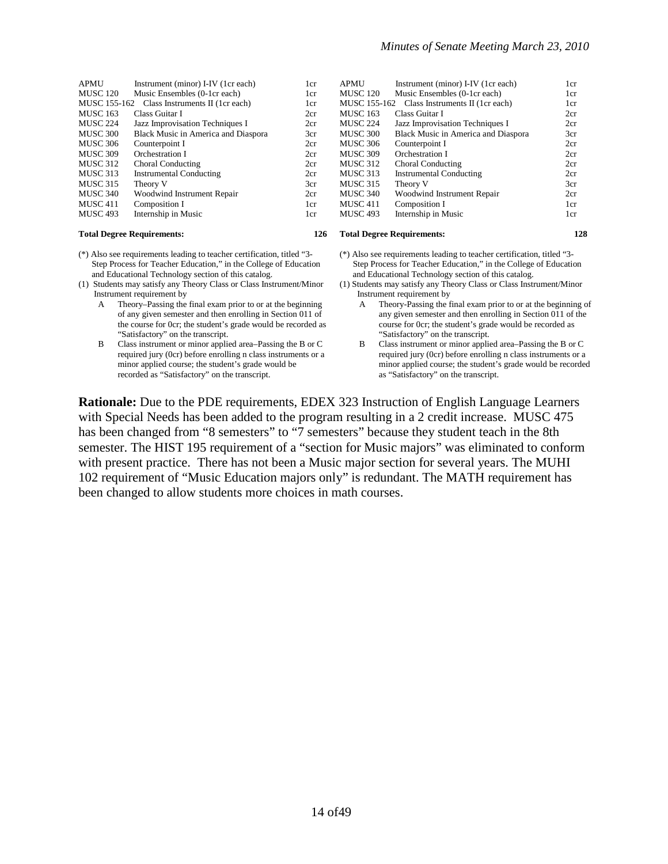| <b>APMU</b>     | Instrument (minor) I-IV (1cr each)  | 1cr | <b>APMU</b> |
|-----------------|-------------------------------------|-----|-------------|
| <b>MUSC 120</b> | Music Ensembles (0-1cr each)        | 1cr | <b>MUSC</b> |
| MUSC 155-162    | Class Instruments II (1cr each)     | 1cr | <b>MUSC</b> |
| <b>MUSC 163</b> | Class Guitar I                      | 2cr | <b>MUSC</b> |
| <b>MUSC 224</b> | Jazz Improvisation Techniques I     | 2cr | <b>MUSC</b> |
| <b>MUSC 300</b> | Black Music in America and Diaspora | 3cr | <b>MUSC</b> |
| <b>MUSC 306</b> | Counterpoint I                      | 2cr | <b>MUSC</b> |
| <b>MUSC 309</b> | Orchestration I                     | 2cr | <b>MUSC</b> |
| <b>MUSC 312</b> | Choral Conducting                   | 2cr | <b>MUSC</b> |
| <b>MUSC 313</b> | <b>Instrumental Conducting</b>      | 2cr | <b>MUSC</b> |
| <b>MUSC 315</b> | Theory V                            | 3cr | <b>MUSC</b> |
| <b>MUSC 340</b> | Woodwind Instrument Repair          | 2cr | <b>MUSC</b> |
| <b>MUSC 411</b> | Composition I                       | 1cr | <b>MUSC</b> |
| <b>MUSC 493</b> | Internship in Music                 | 1cr | <b>MUSC</b> |
|                 |                                     |     |             |

- (\*) Also see requirements leading to teacher certification, titled "3- Step Process for Teacher Education," in the College of Education and Educational Technology section of this catalog.
- (1) Students may satisfy any Theory Class or Class Instrument/Minor Instrument requirement by
	- Theory–Passing the final exam prior to or at the beginning of any given semester and then enrolling in Section 011 of the course for 0cr; the student's grade would be recorded as "Satisfactory" on the transcript.
	- B Class instrument or minor applied area–Passing the B or C required jury (0cr) before enrolling n class instruments or a minor applied course; the student's grade would be recorded as "Satisfactory" on the transcript.

| <b>APMU</b>         | Instrument (minor) I-IV (1cr each)  | 1cr |
|---------------------|-------------------------------------|-----|
| <b>MUSC 120</b>     | Music Ensembles (0-1cr each)        | 1cr |
| <b>MUSC 155-162</b> | Class Instruments II (1cr each)     | 1cr |
| <b>MUSC 163</b>     | Class Guitar I                      | 2cr |
| <b>MUSC 224</b>     | Jazz Improvisation Techniques I     | 2cr |
| <b>MUSC 300</b>     | Black Music in America and Diaspora | 3cr |
| <b>MUSC 306</b>     | Counterpoint I                      | 2cr |
| <b>MUSC 309</b>     | Orchestration I                     | 2cr |
| <b>MUSC 312</b>     | Choral Conducting                   | 2cr |
| <b>MUSC 313</b>     | <b>Instrumental Conducting</b>      | 2cr |
| <b>MUSC 315</b>     | Theory V                            | 3cr |
| <b>MUSC 340</b>     | Woodwind Instrument Repair          | 2cr |
| MUSC 411            | Composition I                       | 1cr |
| <b>MUSC 493</b>     | Internship in Music                 | 1cr |
|                     |                                     |     |

#### **Total Degree Requirements: 126 Total Degree Requirements: 128**

- (\*) Also see requirements leading to teacher certification, titled "3- Step Process for Teacher Education," in the College of Education and Educational Technology section of this catalog.
- (1) Students may satisfy any Theory Class or Class Instrument/Minor Instrument requirement by
	- A Theory-Passing the final exam prior to or at the beginning of any given semester and then enrolling in Section 011 of the course for 0cr; the student's grade would be recorded as "Satisfactory" on the transcript.
	- B Class instrument or minor applied area–Passing the B or C required jury (0cr) before enrolling n class instruments or a minor applied course; the student's grade would be recorded as "Satisfactory" on the transcript.

**Rationale:** Due to the PDE requirements, EDEX 323 Instruction of English Language Learners with Special Needs has been added to the program resulting in a 2 credit increase. MUSC 475 has been changed from "8 semesters" to "7 semesters" because they student teach in the 8th semester. The HIST 195 requirement of a "section for Music majors" was eliminated to conform with present practice. There has not been a Music major section for several years. The MUHI 102 requirement of "Music Education majors only" is redundant. The MATH requirement has been changed to allow students more choices in math courses.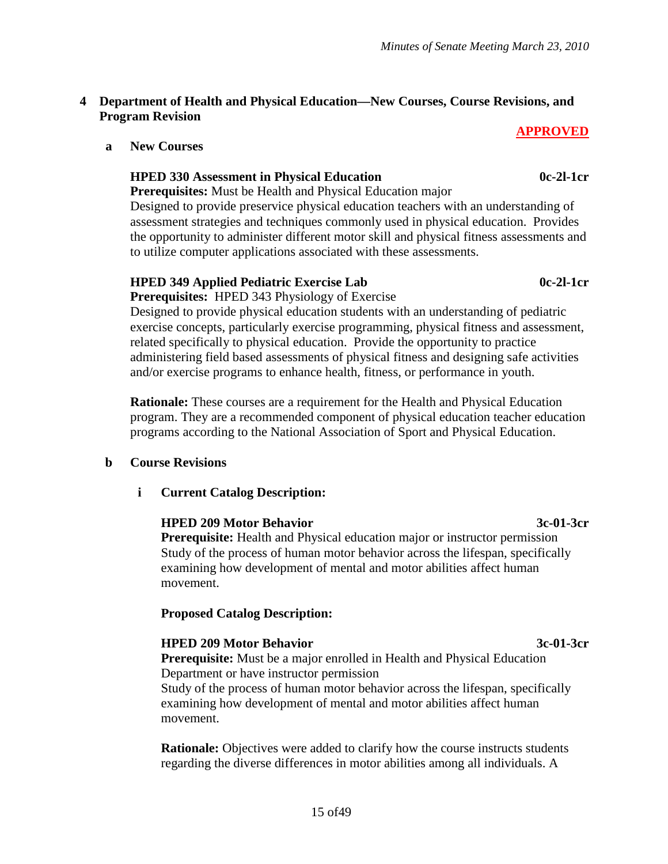# **4 Department of Health and Physical Education—New Courses, Course Revisions, and Program Revision**

# **APPROVED**

**a New Courses**

# **HPED 330 Assessment in Physical Education 0c-2l-1cr**

**Prerequisites:** Must be Health and Physical Education major

Designed to provide preservice physical education teachers with an understanding of assessment strategies and techniques commonly used in physical education. Provides the opportunity to administer different motor skill and physical fitness assessments and to utilize computer applications associated with these assessments.

# **HPED 349 Applied Pediatric Exercise Lab 0c-2l-1cr**

**Prerequisites:** HPED 343 Physiology of Exercise Designed to provide physical education students with an understanding of pediatric exercise concepts, particularly exercise programming, physical fitness and assessment, related specifically to physical education. Provide the opportunity to practice administering field based assessments of physical fitness and designing safe activities and/or exercise programs to enhance health, fitness, or performance in youth.

**Rationale:** These courses are a requirement for the Health and Physical Education program. They are a recommended component of physical education teacher education programs according to the National Association of Sport and Physical Education.

# **b Course Revisions**

# **i Current Catalog Description:**

# **HPED 209 Motor Behavior 3c-01-3cr**

**Prerequisite:** Health and Physical education major or instructor permission Study of the process of human motor behavior across the lifespan, specifically examining how development of mental and motor abilities affect human movement.

# **Proposed Catalog Description:**

# **HPED 209 Motor Behavior 3c-01-3cr**

**Prerequisite:** Must be a major enrolled in Health and Physical Education Department or have instructor permission Study of the process of human motor behavior across the lifespan, specifically examining how development of mental and motor abilities affect human movement.

**Rationale:** Objectives were added to clarify how the course instructs students regarding the diverse differences in motor abilities among all individuals. A

# 15 of49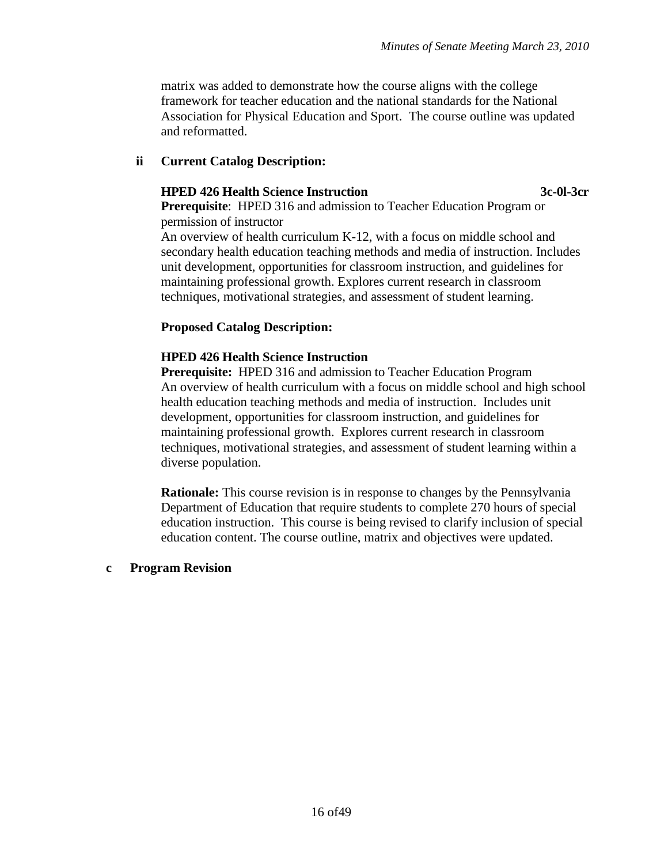matrix was added to demonstrate how the course aligns with the college framework for teacher education and the national standards for the National Association for Physical Education and Sport. The course outline was updated and reformatted.

#### **ii Current Catalog Description:**

#### **HPED 426 Health Science Instruction 3c-0l-3cr**

**Prerequisite:** HPED 316 and admission to Teacher Education Program or permission of instructor

An overview of health curriculum K-12, with a focus on middle school and secondary health education teaching methods and media of instruction. Includes unit development, opportunities for classroom instruction, and guidelines for maintaining professional growth. Explores current research in classroom techniques, motivational strategies, and assessment of student learning.

#### **Proposed Catalog Description:**

# **HPED 426 Health Science Instruction**

**Prerequisite:** HPED 316 and admission to Teacher Education Program An overview of health curriculum with a focus on middle school and high school health education teaching methods and media of instruction. Includes unit development, opportunities for classroom instruction, and guidelines for maintaining professional growth. Explores current research in classroom techniques, motivational strategies, and assessment of student learning within a diverse population.

**Rationale:** This course revision is in response to changes by the Pennsylvania Department of Education that require students to complete 270 hours of special education instruction. This course is being revised to clarify inclusion of special education content. The course outline, matrix and objectives were updated.

#### **c Program Revision**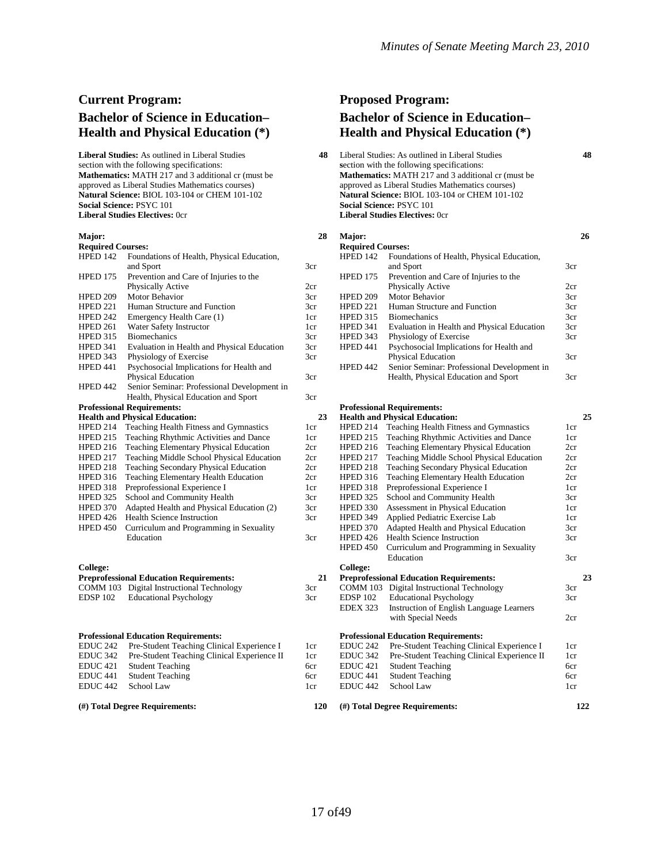# **Current Program: Bachelor of Science in Education– Health and Physical Education (\*)**

**Liberal Studies:** As outlined in Liberal Studies section with the following specifications: **Mathematics:** MATH 217 and 3 additional cr (must be approved as Liberal Studies Mathematics courses) **Natural Science:** BIOL 103-104 or CHEM 101-102 **Social Science:** PSYC 101 **Liberal Studies Electives:** 0cr

#### **Major:**

| Major:                   |                                                | 28  |
|--------------------------|------------------------------------------------|-----|
| <b>Required Courses:</b> |                                                |     |
| HPED 142                 | Foundations of Health, Physical Education,     |     |
|                          | and Sport                                      | 3cr |
| HPED 175                 | Prevention and Care of Injuries to the         |     |
|                          | Physically Active                              | 2cr |
| HPED 209                 | <b>Motor Behavior</b>                          | 3cr |
| HPED 221                 | Human Structure and Function                   | 3cr |
| HPED 242                 | Emergency Health Care (1)                      | 1cr |
| HPED 261                 | Water Safety Instructor                        | 1cr |
| <b>HPED 315</b>          | <b>Biomechanics</b>                            | 3cr |
| HPED 341                 | Evaluation in Health and Physical Education    | 3cr |
| HPED 343                 | Physiology of Exercise                         | 3cr |
| HPED 441                 | Psychosocial Implications for Health and       |     |
|                          | Physical Education                             | 3cr |
| <b>HPED 442</b>          | Senior Seminar: Professional Development in    |     |
|                          | Health, Physical Education and Sport           | 3cr |
|                          | <b>Professional Requirements:</b>              |     |
|                          | <b>Health and Physical Education:</b>          | 23  |
| <b>HPED 214</b>          | Teaching Health Fitness and Gymnastics         | 1cr |
| <b>HPED 215</b>          | Teaching Rhythmic Activities and Dance         | 1cr |
| HPED 216                 | <b>Teaching Elementary Physical Education</b>  | 2cr |
| HPED 217                 | Teaching Middle School Physical Education      | 2cr |
| HPED 218                 | Teaching Secondary Physical Education          | 2cr |
| HPED 316                 | Teaching Elementary Health Education           | 2cr |
| HPED 318                 | Preprofessional Experience I                   | 1cr |
| <b>HPED 325</b>          | School and Community Health                    | 3cr |
| HPED 370                 | Adapted Health and Physical Education (2)      | 3cr |
| HPED 426                 | <b>Health Science Instruction</b>              | 3cr |
| <b>HPED 450</b>          | Curriculum and Programming in Sexuality        |     |
|                          | Education                                      | 3cr |
|                          |                                                |     |
|                          |                                                |     |
| College:                 |                                                |     |
|                          | <b>Preprofessional Education Requirements:</b> | 21  |
| COMM 103                 | Digital Instructional Technology               | 3cr |
| EDSP <sub>102</sub>      | <b>Educational Psychology</b>                  | 3cr |
|                          |                                                |     |
|                          |                                                |     |
|                          | <b>Professional Education Requirements:</b>    |     |
| EDUC <sub>242</sub>      | Pre-Student Teaching Clinical Experience I     | 1cr |
| <b>EDUC 342</b>          | Pre-Student Teaching Clinical Experience II    | 1cr |
| <b>EDUC 421</b>          | <b>Student Teaching</b>                        | 6cr |
| EDUC <sub>441</sub>      | <b>Student Teaching</b>                        | 6cr |

**Student Teaching** 

EDUC 442 School Law

**(#) Total Degree Requirements:**

#### **Proposed Program: Bachelor of Science in Education– Health and Physical Education (\*) 48** Liberal Studies: As outlined in Liberal Studies **48 s**ection with the following specifications: **Mathematics:** MATH 217 and 3 additional cr (must be approved as Liberal Studies Mathematics courses) **Natural Science:** BIOL 103-104 or CHEM 101-102 **Social Science:** PSYC 101 **Liberal Studies Electives:** 0cr

| Major:<br><b>Required Courses:</b> |                                             | 26  |
|------------------------------------|---------------------------------------------|-----|
| <b>HPED 142</b>                    | Foundations of Health, Physical Education,  |     |
|                                    | and Sport                                   | 3cr |
| <b>HPED 175</b>                    | Prevention and Care of Injuries to the      |     |
|                                    | Physically Active                           | 2cr |
| <b>HPED 209</b>                    | Motor Behavior                              | 3cr |
| <b>HPED 221</b>                    | Human Structure and Function                | 3cr |
| <b>HPED 315</b>                    | <b>Biomechanics</b>                         | 3cr |
| <b>HPED 341</b>                    | Evaluation in Health and Physical Education | 3cr |
| <b>HPED 343</b>                    | Physiology of Exercise                      | 3cr |
| HPED 441                           | Psychosocial Implications for Health and    |     |
|                                    | <b>Physical Education</b>                   | 3cr |
| <b>HPED 442</b>                    | Senior Seminar: Professional Development in |     |
|                                    | Health, Physical Education and Sport        | 3cr |

#### **Professional Requirements:**

| 23           |                     | <b>Health and Physical Education:</b>          | 25              |
|--------------|---------------------|------------------------------------------------|-----------------|
| r:           | <b>HPED 214</b>     | Teaching Health Fitness and Gymnastics         | 1cr             |
| r.           | <b>HPED 215</b>     | Teaching Rhythmic Activities and Dance         | 1cr             |
| r:           | <b>HPED 216</b>     | Teaching Elementary Physical Education         | 2cr             |
| r:           | <b>HPED 217</b>     | Teaching Middle School Physical Education      | 2cr             |
| r:           | <b>HPED 218</b>     | Teaching Secondary Physical Education          | 2cr             |
| r:           | <b>HPED 316</b>     | <b>Teaching Elementary Health Education</b>    | 2cr             |
| r:           | <b>HPED 318</b>     | Preprofessional Experience I                   | 1cr             |
| r.           | <b>HPED 325</b>     | School and Community Health                    | 3cr             |
| $\mathbf{r}$ | <b>HPED 330</b>     | Assessment in Physical Education               | 1cr             |
| r:           | <b>HPED 349</b>     | Applied Pediatric Exercise Lab                 | 1 <sub>cr</sub> |
|              | <b>HPED 370</b>     | Adapted Health and Physical Education          | 3cr             |
| r:           | <b>HPED 426</b>     | <b>Health Science Instruction</b>              | 3cr             |
|              | <b>HPED 450</b>     | Curriculum and Programming in Sexuality        |                 |
|              |                     | Education                                      | 3cr             |
|              | College:            |                                                |                 |
| 21           |                     | <b>Preprofessional Education Requirements:</b> | 23              |
| r.           | COMM 103            | Digital Instructional Technology               | 3cr             |
| ź.           | <b>EDSP 102</b>     | <b>Educational Psychology</b>                  | 3cr             |
|              | <b>EDEX 323</b>     | Instruction of English Language Learners       |                 |
|              |                     | with Special Needs                             | 2cr             |
|              |                     |                                                |                 |
|              |                     | <b>Professional Education Requirements:</b>    |                 |
| r.           | <b>EDUC 242</b>     | Pre-Student Teaching Clinical Experience I     | 1cr             |
| r.           | EDUC <sub>342</sub> | Pre-Student Teaching Clinical Experience II    | 1cr             |
| r:           | <b>EDUC</b> 421     | <b>Student Teaching</b>                        | 6cr             |
| r:           | EDUC <sub>441</sub> | <b>Student Teaching</b>                        | 6cr             |
| r:           | EDUC <sub>442</sub> | School Law                                     | 1cr             |
| 120          |                     | (#) Total Degree Requirements:                 | 122             |

# 17 of49

6cr 1cr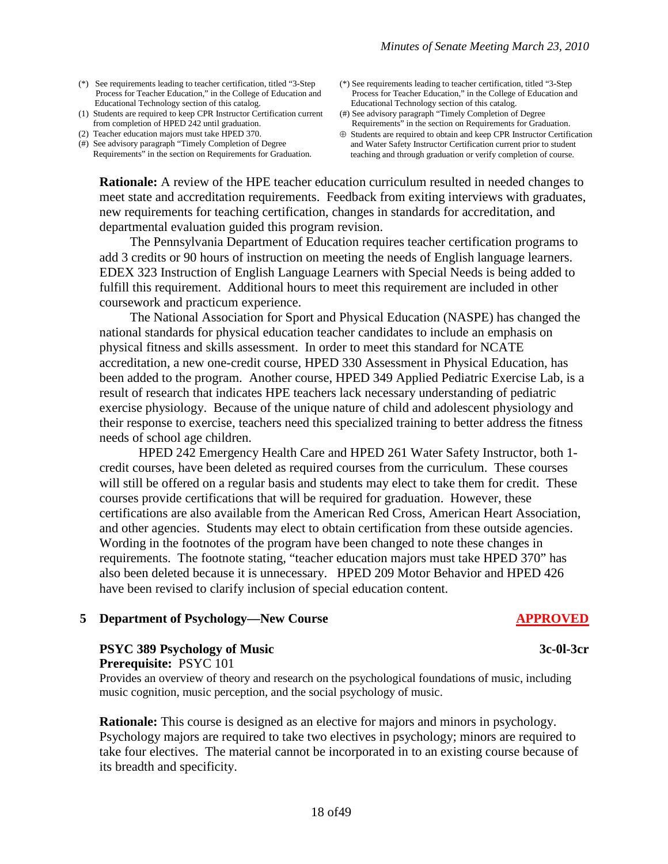- (\*) See requirements leading to teacher certification, titled "3-Step Process for Teacher Education," in the College of Education and Educational Technology section of this catalog.
- (1) Students are required to keep CPR Instructor Certification current from completion of HPED 242 until graduation.
- (2) Teacher education majors must take HPED 370.

(#) See advisory paragraph "Timely Completion of Degree Requirements" in the section on Requirements for Graduation.

- (\*) See requirements leading to teacher certification, titled "3-Step Process for Teacher Education," in the College of Education and Educational Technology section of this catalog.
- (#) See advisory paragraph "Timely Completion of Degree Requirements" in the section on Requirements for Graduation.
- ⊕ Students are required to obtain and keep CPR Instructor Certification and Water Safety Instructor Certification current prior to student teaching and through graduation or verify completion of course.

**Rationale:** A review of the HPE teacher education curriculum resulted in needed changes to meet state and accreditation requirements. Feedback from exiting interviews with graduates, new requirements for teaching certification, changes in standards for accreditation, and departmental evaluation guided this program revision.

The Pennsylvania Department of Education requires teacher certification programs to add 3 credits or 90 hours of instruction on meeting the needs of English language learners. EDEX 323 Instruction of English Language Learners with Special Needs is being added to fulfill this requirement. Additional hours to meet this requirement are included in other coursework and practicum experience.

The National Association for Sport and Physical Education (NASPE) has changed the national standards for physical education teacher candidates to include an emphasis on physical fitness and skills assessment. In order to meet this standard for NCATE accreditation, a new one-credit course, HPED 330 Assessment in Physical Education, has been added to the program. Another course, HPED 349 Applied Pediatric Exercise Lab, is a result of research that indicates HPE teachers lack necessary understanding of pediatric exercise physiology. Because of the unique nature of child and adolescent physiology and their response to exercise, teachers need this specialized training to better address the fitness needs of school age children.

HPED 242 Emergency Health Care and HPED 261 Water Safety Instructor, both 1 credit courses, have been deleted as required courses from the curriculum. These courses will still be offered on a regular basis and students may elect to take them for credit. These courses provide certifications that will be required for graduation. However, these certifications are also available from the American Red Cross, American Heart Association, and other agencies. Students may elect to obtain certification from these outside agencies. Wording in the footnotes of the program have been changed to note these changes in requirements. The footnote stating, "teacher education majors must take HPED 370" has also been deleted because it is unnecessary. HPED 209 Motor Behavior and HPED 426 have been revised to clarify inclusion of special education content.

# **5 Department of Psychology—New Course APPROVED**

#### **PSYC 389 Psychology of Music 3c-0l-3cr Prerequisite:** PSYC 101

Provides an overview of theory and research on the psychological foundations of music, including music cognition, music perception, and the social psychology of music.

**Rationale:** This course is designed as an elective for majors and minors in psychology. Psychology majors are required to take two electives in psychology; minors are required to take four electives. The material cannot be incorporated in to an existing course because of its breadth and specificity.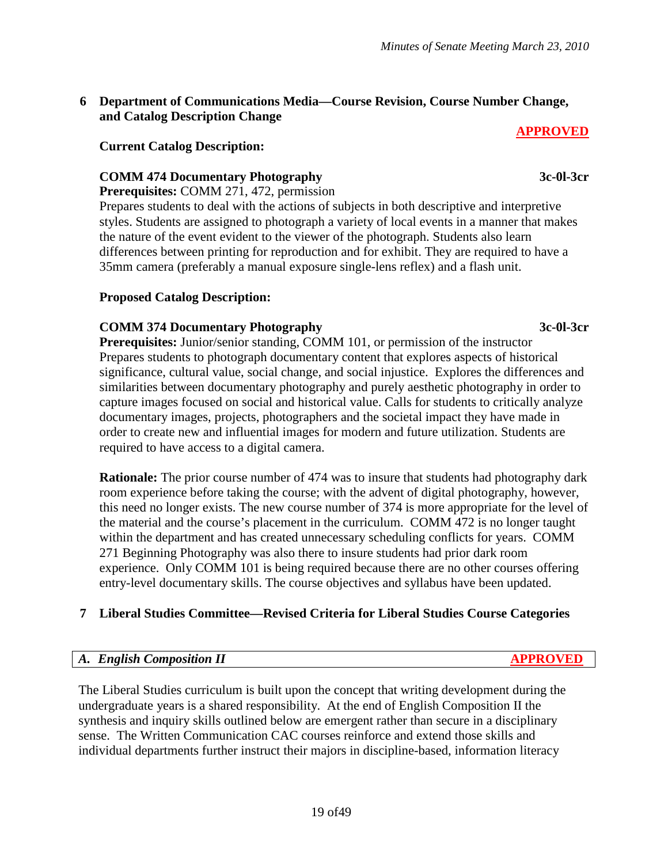# **6 Department of Communications Media—Course Revision, Course Number Change, and Catalog Description Change**

# **Current Catalog Description:**

# **COMM 474 Documentary Photography 3c-0l-3cr**

**Prerequisites:** COMM 271, 472, permission

Prepares students to deal with the actions of subjects in both descriptive and interpretive styles. Students are assigned to photograph a variety of local events in a manner that makes the nature of the event evident to the viewer of the photograph. Students also learn differences between printing for reproduction and for exhibit. They are required to have a 35mm camera (preferably a manual exposure single-lens reflex) and a flash unit.

# **Proposed Catalog Description:**

# **COMM 374 Documentary Photography 3c-0l-3cr**

**Prerequisites:** Junior/senior standing, COMM 101, or permission of the instructor Prepares students to photograph documentary content that explores aspects of historical significance, cultural value, social change, and social injustice. Explores the differences and similarities between documentary photography and purely aesthetic photography in order to capture images focused on social and historical value. Calls for students to critically analyze documentary images, projects, photographers and the societal impact they have made in order to create new and influential images for modern and future utilization. Students are required to have access to a digital camera.

**Rationale:** The prior course number of 474 was to insure that students had photography dark room experience before taking the course; with the advent of digital photography, however, this need no longer exists. The new course number of 374 is more appropriate for the level of the material and the course's placement in the curriculum. COMM 472 is no longer taught within the department and has created unnecessary scheduling conflicts for years. COMM 271 Beginning Photography was also there to insure students had prior dark room experience. Only COMM 101 is being required because there are no other courses offering entry-level documentary skills. The course objectives and syllabus have been updated.

# **7 Liberal Studies Committee—Revised Criteria for Liberal Studies Course Categories**

# *A. English Composition II* **APPROVED**

The Liberal Studies curriculum is built upon the concept that writing development during the undergraduate years is a shared responsibility. At the end of English Composition II the synthesis and inquiry skills outlined below are emergent rather than secure in a disciplinary sense. The Written Communication CAC courses reinforce and extend those skills and individual departments further instruct their majors in discipline-based, information literacy

**APPROVED**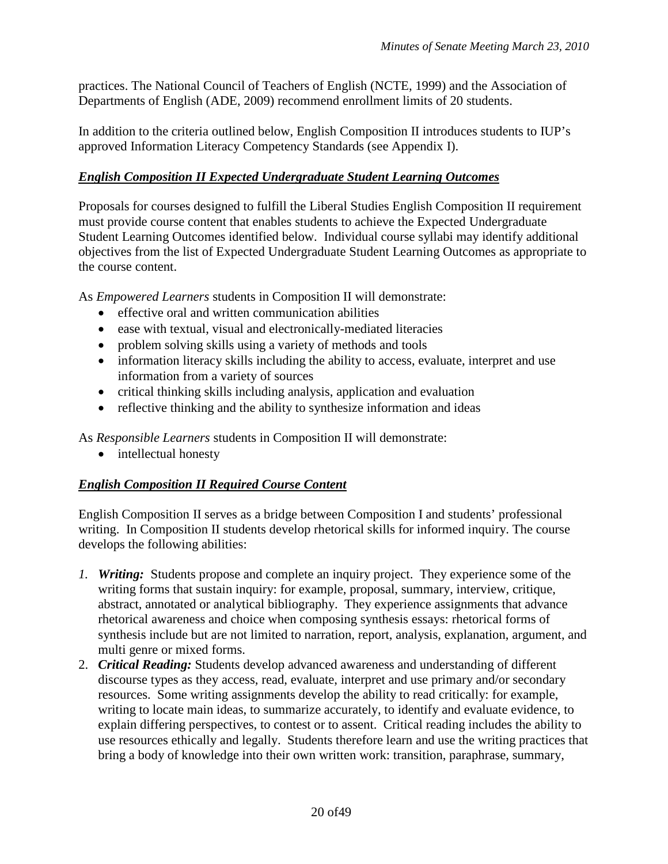practices. The National Council of Teachers of English (NCTE, 1999) and the Association of Departments of English (ADE, 2009) recommend enrollment limits of 20 students.

In addition to the criteria outlined below, English Composition II introduces students to IUP's approved Information Literacy Competency Standards (see Appendix I).

# *English Composition II Expected Undergraduate Student Learning Outcomes*

Proposals for courses designed to fulfill the Liberal Studies English Composition II requirement must provide course content that enables students to achieve the Expected Undergraduate Student Learning Outcomes identified below. Individual course syllabi may identify additional objectives from the list of Expected Undergraduate Student Learning Outcomes as appropriate to the course content.

As *Empowered Learners* students in Composition II will demonstrate:

- effective oral and written communication abilities
- ease with textual, visual and electronically-mediated literacies
- problem solving skills using a variety of methods and tools
- information literacy skills including the ability to access, evaluate, interpret and use information from a variety of sources
- critical thinking skills including analysis, application and evaluation
- reflective thinking and the ability to synthesize information and ideas

As *Responsible Learners* students in Composition II will demonstrate:

• intellectual honesty

# *English Composition II Required Course Content*

English Composition II serves as a bridge between Composition I and students' professional writing. In Composition II students develop rhetorical skills for informed inquiry. The course develops the following abilities:

- *1. Writing:* Students propose and complete an inquiry project. They experience some of the writing forms that sustain inquiry: for example, proposal, summary, interview, critique, abstract, annotated or analytical bibliography. They experience assignments that advance rhetorical awareness and choice when composing synthesis essays: rhetorical forms of synthesis include but are not limited to narration, report, analysis, explanation, argument, and multi genre or mixed forms.
- 2. *Critical Reading:* Students develop advanced awareness and understanding of different discourse types as they access, read, evaluate, interpret and use primary and/or secondary resources. Some writing assignments develop the ability to read critically: for example, writing to locate main ideas, to summarize accurately, to identify and evaluate evidence, to explain differing perspectives, to contest or to assent. Critical reading includes the ability to use resources ethically and legally. Students therefore learn and use the writing practices that bring a body of knowledge into their own written work: transition, paraphrase, summary,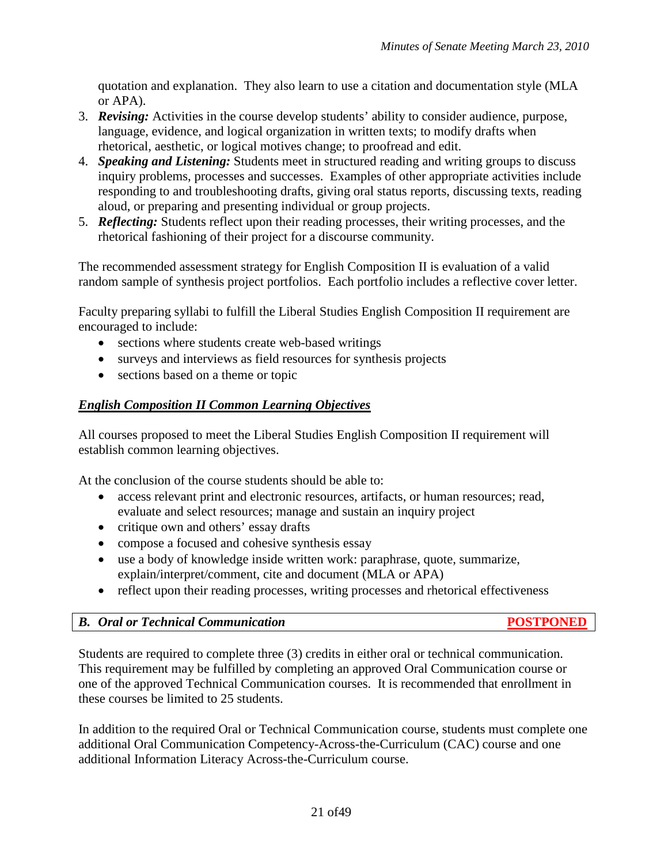quotation and explanation. They also learn to use a citation and documentation style (MLA or APA).

- 3. *Revising:* Activities in the course develop students' ability to consider audience, purpose, language, evidence, and logical organization in written texts; to modify drafts when rhetorical, aesthetic, or logical motives change; to proofread and edit.
- 4. *Speaking and Listening:* Students meet in structured reading and writing groups to discuss inquiry problems, processes and successes. Examples of other appropriate activities include responding to and troubleshooting drafts, giving oral status reports, discussing texts, reading aloud, or preparing and presenting individual or group projects.
- 5. *Reflecting:* Students reflect upon their reading processes, their writing processes, and the rhetorical fashioning of their project for a discourse community.

The recommended assessment strategy for English Composition II is evaluation of a valid random sample of synthesis project portfolios. Each portfolio includes a reflective cover letter.

Faculty preparing syllabi to fulfill the Liberal Studies English Composition II requirement are encouraged to include:

- sections where students create web-based writings
- surveys and interviews as field resources for synthesis projects
- sections based on a theme or topic

# *English Composition II Common Learning Objectives*

All courses proposed to meet the Liberal Studies English Composition II requirement will establish common learning objectives.

At the conclusion of the course students should be able to:

- access relevant print and electronic resources, artifacts, or human resources; read, evaluate and select resources; manage and sustain an inquiry project
- critique own and others' essay drafts
- compose a focused and cohesive synthesis essay
- use a body of knowledge inside written work: paraphrase, quote, summarize, explain/interpret/comment, cite and document (MLA or APA)
- reflect upon their reading processes, writing processes and rhetorical effectiveness

|  |  |  | <b>B.</b> Oral or Technical Communication |
|--|--|--|-------------------------------------------|
|--|--|--|-------------------------------------------|

*B. Oral or Technical Communication* **POSTPONED**

Students are required to complete three (3) credits in either oral or technical communication. This requirement may be fulfilled by completing an approved Oral Communication course or one of the approved Technical Communication courses. It is recommended that enrollment in these courses be limited to 25 students.

In addition to the required Oral or Technical Communication course, students must complete one additional Oral Communication Competency-Across-the-Curriculum (CAC) course and one additional Information Literacy Across-the-Curriculum course.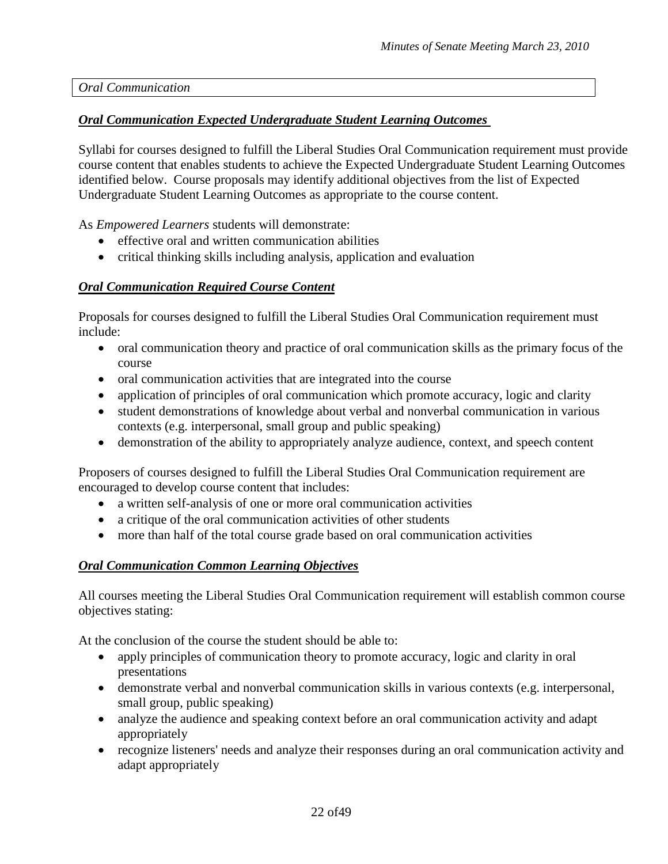*Oral Communication*

# *Oral Communication Expected Undergraduate Student Learning Outcomes*

Syllabi for courses designed to fulfill the Liberal Studies Oral Communication requirement must provide course content that enables students to achieve the Expected Undergraduate Student Learning Outcomes identified below. Course proposals may identify additional objectives from the list of Expected Undergraduate Student Learning Outcomes as appropriate to the course content.

As *Empowered Learners* students will demonstrate:

- effective oral and written communication abilities
- critical thinking skills including analysis, application and evaluation

# *Oral Communication Required Course Content*

Proposals for courses designed to fulfill the Liberal Studies Oral Communication requirement must include:

- oral communication theory and practice of oral communication skills as the primary focus of the course
- oral communication activities that are integrated into the course
- application of principles of oral communication which promote accuracy, logic and clarity
- student demonstrations of knowledge about verbal and nonverbal communication in various contexts (e.g. interpersonal, small group and public speaking)
- demonstration of the ability to appropriately analyze audience, context, and speech content

Proposers of courses designed to fulfill the Liberal Studies Oral Communication requirement are encouraged to develop course content that includes:

- a written self-analysis of one or more oral communication activities
- a critique of the oral communication activities of other students
- more than half of the total course grade based on oral communication activities

# *Oral Communication Common Learning Objectives*

All courses meeting the Liberal Studies Oral Communication requirement will establish common course objectives stating:

At the conclusion of the course the student should be able to:

- apply principles of communication theory to promote accuracy, logic and clarity in oral presentations
- demonstrate verbal and nonverbal communication skills in various contexts (e.g. interpersonal, small group, public speaking)
- analyze the audience and speaking context before an oral communication activity and adapt appropriately
- recognize listeners' needs and analyze their responses during an oral communication activity and adapt appropriately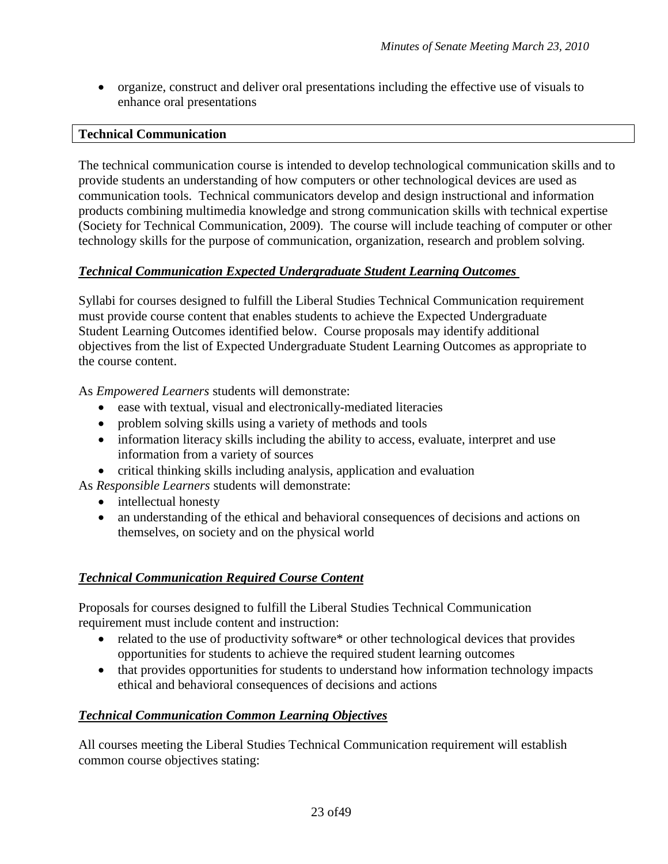• organize, construct and deliver oral presentations including the effective use of visuals to enhance oral presentations

# **Technical Communication**

The technical communication course is intended to develop technological communication skills and to provide students an understanding of how computers or other technological devices are used as communication tools. Technical communicators develop and design instructional and information products combining multimedia knowledge and strong communication skills with technical expertise (Society for Technical Communication, 2009). The course will include teaching of computer or other technology skills for the purpose of communication, organization, research and problem solving.

# *Technical Communication Expected Undergraduate Student Learning Outcomes*

Syllabi for courses designed to fulfill the Liberal Studies Technical Communication requirement must provide course content that enables students to achieve the Expected Undergraduate Student Learning Outcomes identified below. Course proposals may identify additional objectives from the list of Expected Undergraduate Student Learning Outcomes as appropriate to the course content.

As *Empowered Learners* students will demonstrate:

- ease with textual, visual and electronically-mediated literacies
- problem solving skills using a variety of methods and tools
- information literacy skills including the ability to access, evaluate, interpret and use information from a variety of sources
- critical thinking skills including analysis, application and evaluation

As *Responsible Learners* students will demonstrate:

- intellectual honesty
- an understanding of the ethical and behavioral consequences of decisions and actions on themselves, on society and on the physical world

# *Technical Communication Required Course Content*

Proposals for courses designed to fulfill the Liberal Studies Technical Communication requirement must include content and instruction:

- related to the use of productivity software\* or other technological devices that provides opportunities for students to achieve the required student learning outcomes
- that provides opportunities for students to understand how information technology impacts ethical and behavioral consequences of decisions and actions

# *Technical Communication Common Learning Objectives*

All courses meeting the Liberal Studies Technical Communication requirement will establish common course objectives stating: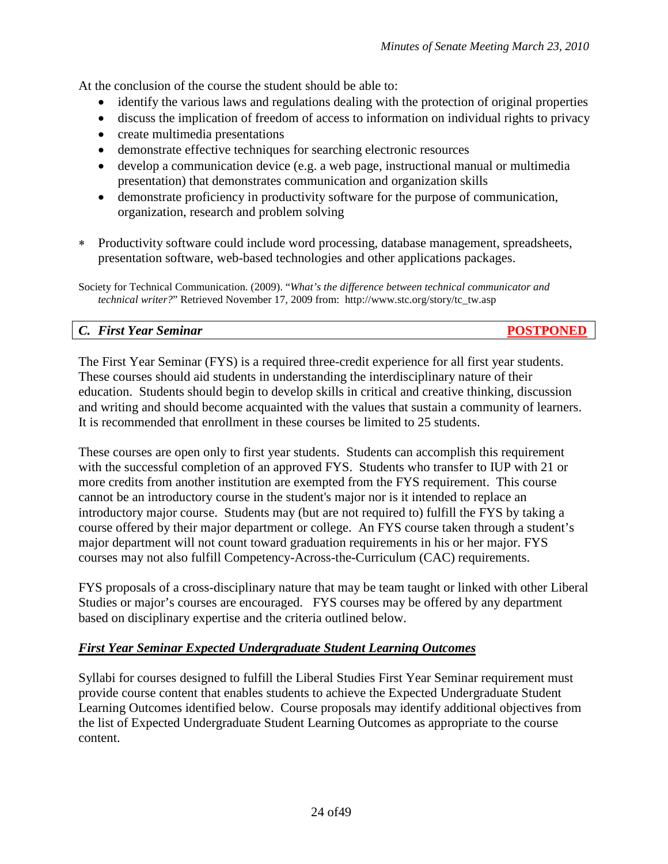At the conclusion of the course the student should be able to:

- identify the various laws and regulations dealing with the protection of original properties
- discuss the implication of freedom of access to information on individual rights to privacy
- create multimedia presentations
- demonstrate effective techniques for searching electronic resources
- develop a communication device (e.g. a web page, instructional manual or multimedia presentation) that demonstrates communication and organization skills
- demonstrate proficiency in productivity software for the purpose of communication, organization, research and problem solving
- ∗ Productivity software could include word processing, database management, spreadsheets, presentation software, web-based technologies and other applications packages.

Society for Technical Communication. (2009). "*What's the difference between technical communicator and technical writer?*" Retrieved November 17, 2009 from: http://www.stc.org/story/tc\_tw.asp

# *C. First Year Seminar* **POSTPONED**

The First Year Seminar (FYS) is a required three-credit experience for all first year students. These courses should aid students in understanding the interdisciplinary nature of their education. Students should begin to develop skills in critical and creative thinking, discussion and writing and should become acquainted with the values that sustain a community of learners. It is recommended that enrollment in these courses be limited to 25 students.

These courses are open only to first year students. Students can accomplish this requirement with the successful completion of an approved FYS. Students who transfer to IUP with 21 or more credits from another institution are exempted from the FYS requirement. This course cannot be an introductory course in the student's major nor is it intended to replace an introductory major course. Students may (but are not required to) fulfill the FYS by taking a course offered by their major department or college. An FYS course taken through a student's major department will not count toward graduation requirements in his or her major. FYS courses may not also fulfill Competency-Across-the-Curriculum (CAC) requirements.

FYS proposals of a cross-disciplinary nature that may be team taught or linked with other Liberal Studies or major's courses are encouraged. FYS courses may be offered by any department based on disciplinary expertise and the criteria outlined below.

# *First Year Seminar Expected Undergraduate Student Learning Outcomes*

Syllabi for courses designed to fulfill the Liberal Studies First Year Seminar requirement must provide course content that enables students to achieve the Expected Undergraduate Student Learning Outcomes identified below. Course proposals may identify additional objectives from the list of Expected Undergraduate Student Learning Outcomes as appropriate to the course content.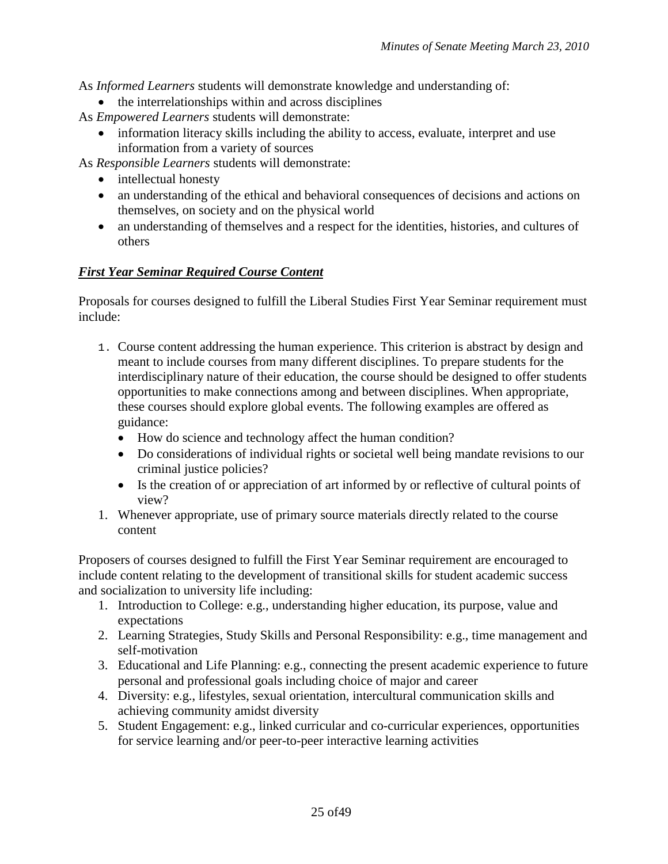As *Informed Learners* students will demonstrate knowledge and understanding of:

• the interrelationships within and across disciplines

As *Empowered Learners* students will demonstrate:

• information literacy skills including the ability to access, evaluate, interpret and use information from a variety of sources

As *Responsible Learners* students will demonstrate:

- intellectual honesty
- an understanding of the ethical and behavioral consequences of decisions and actions on themselves, on society and on the physical world
- an understanding of themselves and a respect for the identities, histories, and cultures of others

# *First Year Seminar Required Course Content*

Proposals for courses designed to fulfill the Liberal Studies First Year Seminar requirement must include:

- 1. Course content addressing the human experience. This criterion is abstract by design and meant to include courses from many different disciplines. To prepare students for the interdisciplinary nature of their education, the course should be designed to offer students opportunities to make connections among and between disciplines. When appropriate, these courses should explore global events. The following examples are offered as guidance:
	- How do science and technology affect the human condition?
	- Do considerations of individual rights or societal well being mandate revisions to our criminal justice policies?
	- Is the creation of or appreciation of art informed by or reflective of cultural points of view?
- 1. Whenever appropriate, use of primary source materials directly related to the course content

Proposers of courses designed to fulfill the First Year Seminar requirement are encouraged to include content relating to the development of transitional skills for student academic success and socialization to university life including:

- 1. Introduction to College: e.g., understanding higher education, its purpose, value and expectations
- 2. Learning Strategies, Study Skills and Personal Responsibility: e.g., time management and self-motivation
- 3. Educational and Life Planning: e.g., connecting the present academic experience to future personal and professional goals including choice of major and career
- 4. Diversity: e.g., lifestyles, sexual orientation, intercultural communication skills and achieving community amidst diversity
- 5. Student Engagement: e.g., linked curricular and co-curricular experiences, opportunities for service learning and/or peer-to-peer interactive learning activities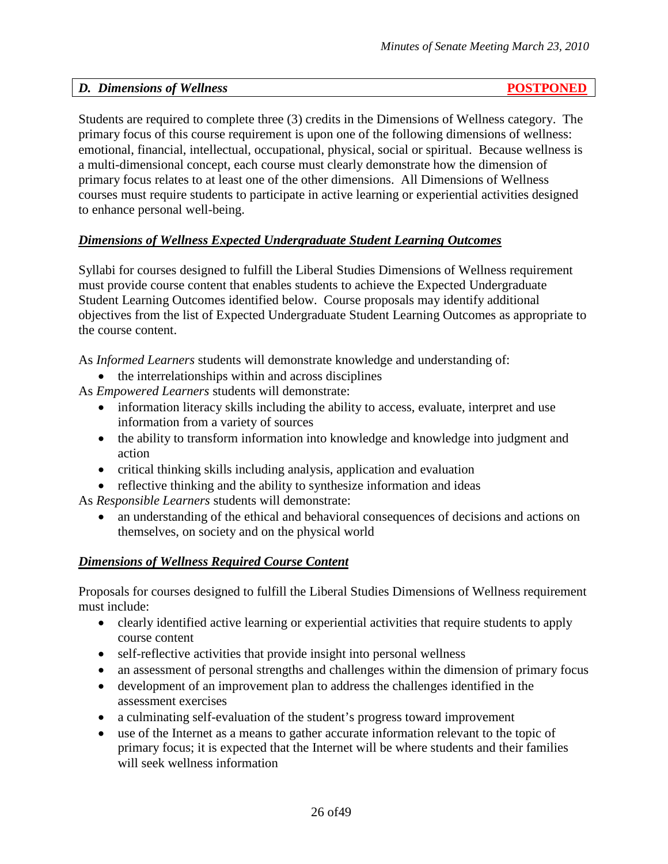# *D. Dimensions of Wellness* **POSTPONED**

Students are required to complete three (3) credits in the Dimensions of Wellness category. The primary focus of this course requirement is upon one of the following dimensions of wellness: emotional, financial, intellectual, occupational, physical, social or spiritual. Because wellness is a multi-dimensional concept, each course must clearly demonstrate how the dimension of primary focus relates to at least one of the other dimensions. All Dimensions of Wellness courses must require students to participate in active learning or experiential activities designed to enhance personal well-being.

# *Dimensions of Wellness Expected Undergraduate Student Learning Outcomes*

Syllabi for courses designed to fulfill the Liberal Studies Dimensions of Wellness requirement must provide course content that enables students to achieve the Expected Undergraduate Student Learning Outcomes identified below. Course proposals may identify additional objectives from the list of Expected Undergraduate Student Learning Outcomes as appropriate to the course content.

As *Informed Learners* students will demonstrate knowledge and understanding of:

- the interrelationships within and across disciplines
- As *Empowered Learners* students will demonstrate:
	- information literacy skills including the ability to access, evaluate, interpret and use information from a variety of sources
	- the ability to transform information into knowledge and knowledge into judgment and action
	- critical thinking skills including analysis, application and evaluation
	- reflective thinking and the ability to synthesize information and ideas

As *Responsible Learners* students will demonstrate:

• an understanding of the ethical and behavioral consequences of decisions and actions on themselves, on society and on the physical world

# *Dimensions of Wellness Required Course Content*

Proposals for courses designed to fulfill the Liberal Studies Dimensions of Wellness requirement must include:

- clearly identified active learning or experiential activities that require students to apply course content
- self-reflective activities that provide insight into personal wellness
- an assessment of personal strengths and challenges within the dimension of primary focus
- development of an improvement plan to address the challenges identified in the assessment exercises
- a culminating self-evaluation of the student's progress toward improvement
- use of the Internet as a means to gather accurate information relevant to the topic of primary focus; it is expected that the Internet will be where students and their families will seek wellness information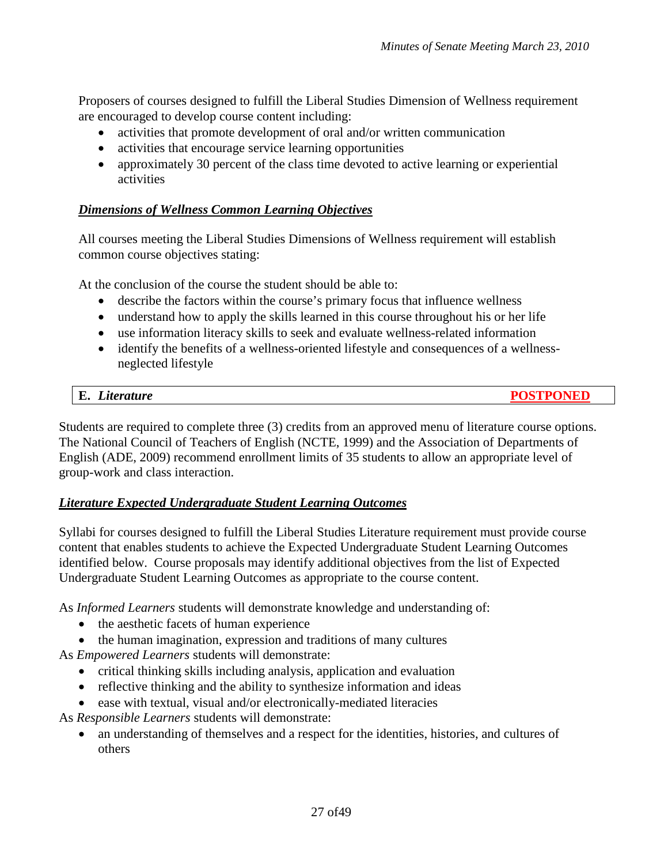Proposers of courses designed to fulfill the Liberal Studies Dimension of Wellness requirement are encouraged to develop course content including:

- activities that promote development of oral and/or written communication
- activities that encourage service learning opportunities
- approximately 30 percent of the class time devoted to active learning or experiential activities

# *Dimensions of Wellness Common Learning Objectives*

All courses meeting the Liberal Studies Dimensions of Wellness requirement will establish common course objectives stating:

At the conclusion of the course the student should be able to:

- describe the factors within the course's primary focus that influence wellness
- understand how to apply the skills learned in this course throughout his or her life
- use information literacy skills to seek and evaluate wellness-related information
- identify the benefits of a wellness-oriented lifestyle and consequences of a wellnessneglected lifestyle

| E.<br>Literature | <b>POSTPONEL</b> |
|------------------|------------------|
|                  |                  |

Students are required to complete three (3) credits from an approved menu of literature course options. The National Council of Teachers of English (NCTE, 1999) and the Association of Departments of English (ADE, 2009) recommend enrollment limits of 35 students to allow an appropriate level of group-work and class interaction.

# *Literature Expected Undergraduate Student Learning Outcomes*

Syllabi for courses designed to fulfill the Liberal Studies Literature requirement must provide course content that enables students to achieve the Expected Undergraduate Student Learning Outcomes identified below. Course proposals may identify additional objectives from the list of Expected Undergraduate Student Learning Outcomes as appropriate to the course content.

As *Informed Learners* students will demonstrate knowledge and understanding of:

- the aesthetic facets of human experience
- the human imagination, expression and traditions of many cultures

As *Empowered Learners* students will demonstrate:

- critical thinking skills including analysis, application and evaluation
- reflective thinking and the ability to synthesize information and ideas
- ease with textual, visual and/or electronically-mediated literacies

As *Responsible Learners* students will demonstrate:

• an understanding of themselves and a respect for the identities, histories, and cultures of others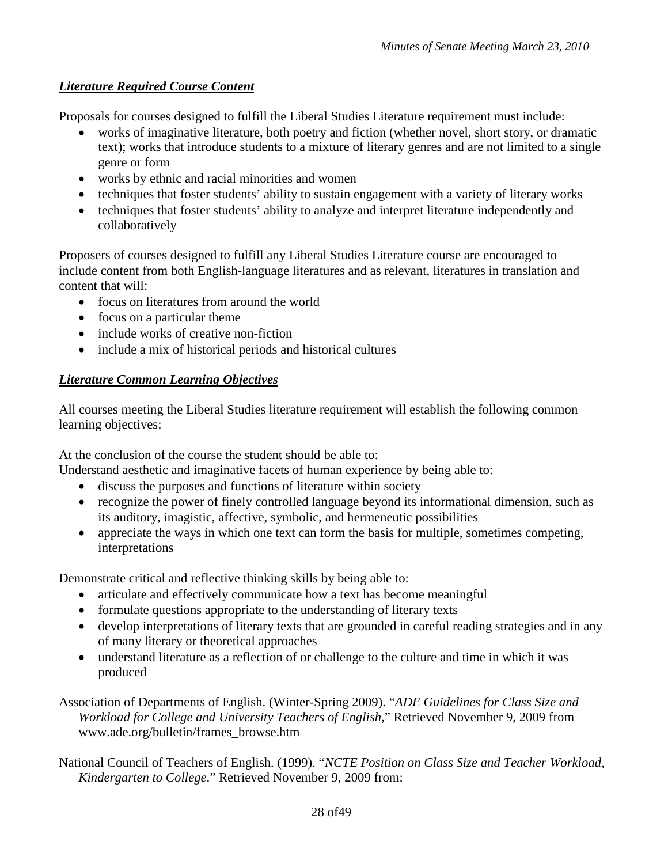# *Literature Required Course Content*

Proposals for courses designed to fulfill the Liberal Studies Literature requirement must include:

- works of imaginative literature, both poetry and fiction (whether novel, short story, or dramatic text); works that introduce students to a mixture of literary genres and are not limited to a single genre or form
- works by ethnic and racial minorities and women
- techniques that foster students' ability to sustain engagement with a variety of literary works
- techniques that foster students' ability to analyze and interpret literature independently and collaboratively

Proposers of courses designed to fulfill any Liberal Studies Literature course are encouraged to include content from both English-language literatures and as relevant, literatures in translation and content that will:

- focus on literatures from around the world
- focus on a particular theme
- include works of creative non-fiction
- include a mix of historical periods and historical cultures

# *Literature Common Learning Objectives*

All courses meeting the Liberal Studies literature requirement will establish the following common learning objectives:

At the conclusion of the course the student should be able to:

Understand aesthetic and imaginative facets of human experience by being able to:

- discuss the purposes and functions of literature within society
- recognize the power of finely controlled language beyond its informational dimension, such as its auditory, imagistic, affective, symbolic, and hermeneutic possibilities
- appreciate the ways in which one text can form the basis for multiple, sometimes competing, interpretations

Demonstrate critical and reflective thinking skills by being able to:

- articulate and effectively communicate how a text has become meaningful
- formulate questions appropriate to the understanding of literary texts
- develop interpretations of literary texts that are grounded in careful reading strategies and in any of many literary or theoretical approaches
- understand literature as a reflection of or challenge to the culture and time in which it was produced

Association of Departments of English. (Winter-Spring 2009). "*ADE Guidelines for Class Size and Workload for College and University Teachers of English*," Retrieved November 9, 2009 from www.ade.org/bulletin/frames\_browse.htm

National Council of Teachers of English. (1999). "*NCTE Position on Class Size and Teacher Workload, Kindergarten to College*." Retrieved November 9, 2009 from: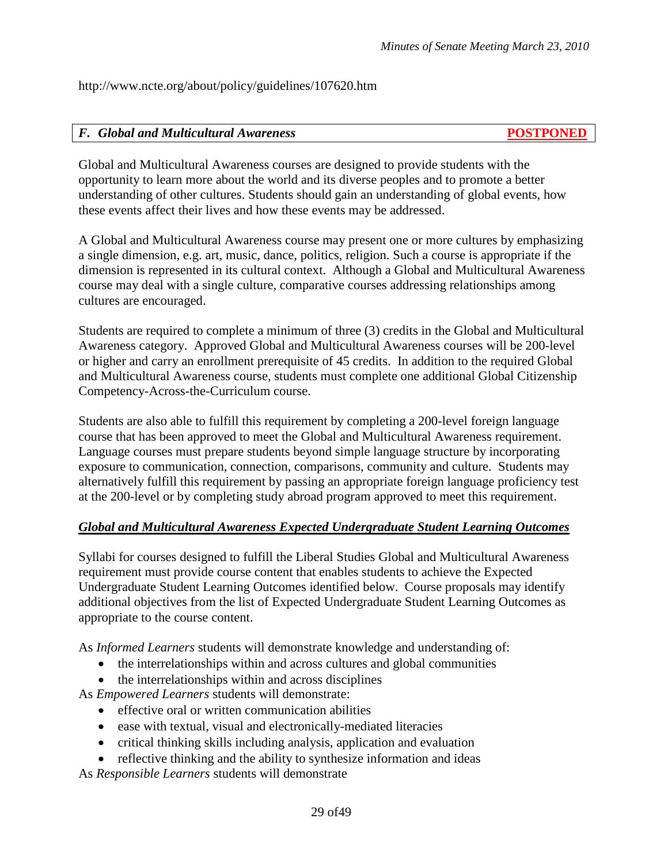http://www.ncte.org/about/policy/guidelines/107620.htm

#### *F. Global and Multicultural Awareness* **POSTPONED**

Global and Multicultural Awareness courses are designed to provide students with the opportunity to learn more about the world and its diverse peoples and to promote a better understanding of other cultures. Students should gain an understanding of global events, how these events affect their lives and how these events may be addressed.

A Global and Multicultural Awareness course may present one or more cultures by emphasizing a single dimension, e.g. art, music, dance, politics, religion. Such a course is appropriate if the dimension is represented in its cultural context. Although a Global and Multicultural Awareness course may deal with a single culture, comparative courses addressing relationships among cultures are encouraged.

Students are required to complete a minimum of three (3) credits in the Global and Multicultural Awareness category. Approved Global and Multicultural Awareness courses will be 200-level or higher and carry an enrollment prerequisite of 45 credits. In addition to the required Global and Multicultural Awareness course, students must complete one additional Global Citizenship Competency-Across-the-Curriculum course.

Students are also able to fulfill this requirement by completing a 200-level foreign language course that has been approved to meet the Global and Multicultural Awareness requirement. Language courses must prepare students beyond simple language structure by incorporating exposure to communication, connection, comparisons, community and culture. Students may alternatively fulfill this requirement by passing an appropriate foreign language proficiency test at the 200-level or by completing study abroad program approved to meet this requirement.

# *Global and Multicultural Awareness Expected Undergraduate Student Learning Outcomes*

Syllabi for courses designed to fulfill the Liberal Studies Global and Multicultural Awareness requirement must provide course content that enables students to achieve the Expected Undergraduate Student Learning Outcomes identified below. Course proposals may identify additional objectives from the list of Expected Undergraduate Student Learning Outcomes as appropriate to the course content.

As *Informed Learners* students will demonstrate knowledge and understanding of:

- the interrelationships within and across cultures and global communities
- the interrelationships within and across disciplines

As *Empowered Learners* students will demonstrate:

- effective oral or written communication abilities
- ease with textual, visual and electronically-mediated literacies
- critical thinking skills including analysis, application and evaluation
- reflective thinking and the ability to synthesize information and ideas

As *Responsible Learners* students will demonstrate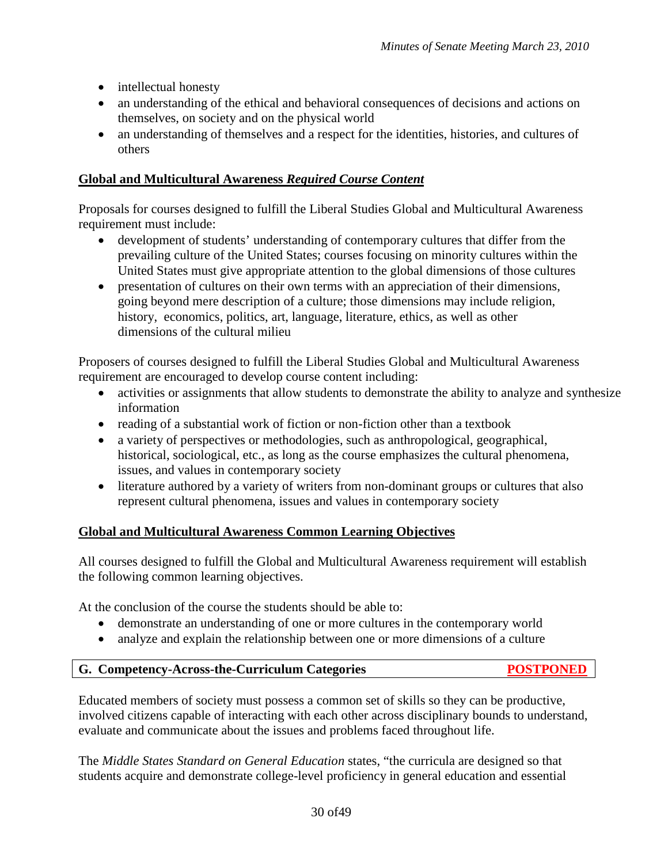- intellectual honesty
- an understanding of the ethical and behavioral consequences of decisions and actions on themselves, on society and on the physical world
- an understanding of themselves and a respect for the identities, histories, and cultures of others

# **Global and Multicultural Awareness** *Required Course Content*

Proposals for courses designed to fulfill the Liberal Studies Global and Multicultural Awareness requirement must include:

- development of students' understanding of contemporary cultures that differ from the prevailing culture of the United States; courses focusing on minority cultures within the United States must give appropriate attention to the global dimensions of those cultures
- presentation of cultures on their own terms with an appreciation of their dimensions, going beyond mere description of a culture; those dimensions may include religion, history, economics, politics, art, language, literature, ethics, as well as other dimensions of the cultural milieu

Proposers of courses designed to fulfill the Liberal Studies Global and Multicultural Awareness requirement are encouraged to develop course content including:

- activities or assignments that allow students to demonstrate the ability to analyze and synthesize information
- reading of a substantial work of fiction or non-fiction other than a textbook
- a variety of perspectives or methodologies, such as anthropological, geographical, historical, sociological, etc., as long as the course emphasizes the cultural phenomena, issues, and values in contemporary society
- literature authored by a variety of writers from non-dominant groups or cultures that also represent cultural phenomena, issues and values in contemporary society

# **Global and Multicultural Awareness Common Learning Objectives**

All courses designed to fulfill the Global and Multicultural Awareness requirement will establish the following common learning objectives.

At the conclusion of the course the students should be able to:

- demonstrate an understanding of one or more cultures in the contemporary world
- analyze and explain the relationship between one or more dimensions of a culture

# **G. Competency-Across-the-Curriculum Categories****POSTPONED**

Educated members of society must possess a common set of skills so they can be productive, involved citizens capable of interacting with each other across disciplinary bounds to understand, evaluate and communicate about the issues and problems faced throughout life.

The *Middle States Standard on General Education* states, "the curricula are designed so that students acquire and demonstrate college-level proficiency in general education and essential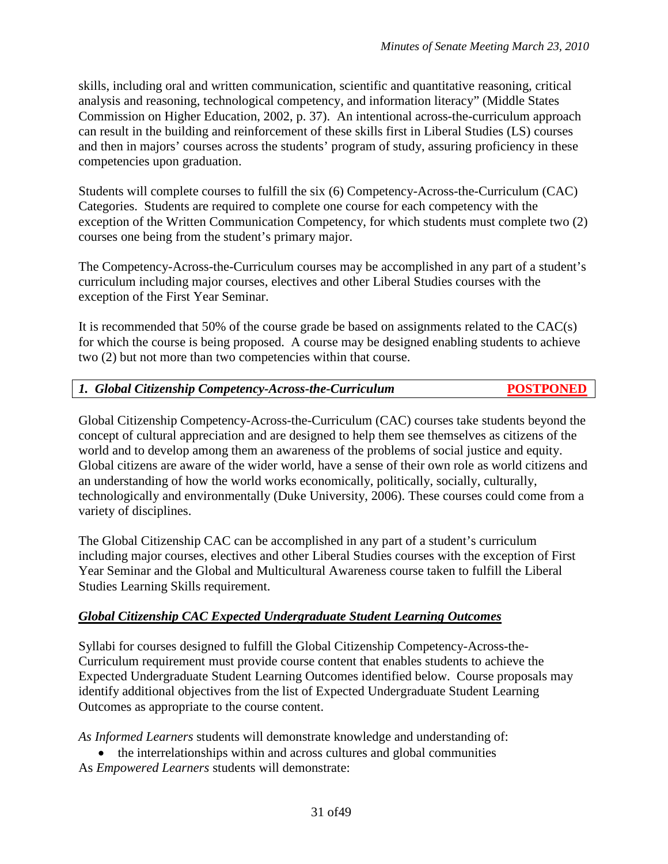skills, including oral and written communication, scientific and quantitative reasoning, critical analysis and reasoning, technological competency, and information literacy" (Middle States Commission on Higher Education, 2002, p. 37). An intentional across-the-curriculum approach can result in the building and reinforcement of these skills first in Liberal Studies (LS) courses and then in majors' courses across the students' program of study, assuring proficiency in these competencies upon graduation.

Students will complete courses to fulfill the six (6) Competency-Across-the-Curriculum (CAC) Categories. Students are required to complete one course for each competency with the exception of the Written Communication Competency, for which students must complete two (2) courses one being from the student's primary major.

The Competency-Across-the-Curriculum courses may be accomplished in any part of a student's curriculum including major courses, electives and other Liberal Studies courses with the exception of the First Year Seminar.

It is recommended that 50% of the course grade be based on assignments related to the CAC(s) for which the course is being proposed. A course may be designed enabling students to achieve two (2) but not more than two competencies within that course.

# *1. Global Citizenship Competency-Across-the-Curriculum* **POSTPONED**

Global Citizenship Competency-Across-the-Curriculum (CAC) courses take students beyond the concept of cultural appreciation and are designed to help them see themselves as citizens of the world and to develop among them an awareness of the problems of social justice and equity. Global citizens are aware of the wider world, have a sense of their own role as world citizens and an understanding of how the world works economically, politically, socially, culturally, technologically and environmentally (Duke University, 2006). These courses could come from a variety of disciplines.

The Global Citizenship CAC can be accomplished in any part of a student's curriculum including major courses, electives and other Liberal Studies courses with the exception of First Year Seminar and the Global and Multicultural Awareness course taken to fulfill the Liberal Studies Learning Skills requirement.

# *Global Citizenship CAC Expected Undergraduate Student Learning Outcomes*

Syllabi for courses designed to fulfill the Global Citizenship Competency-Across-the-Curriculum requirement must provide course content that enables students to achieve the Expected Undergraduate Student Learning Outcomes identified below. Course proposals may identify additional objectives from the list of Expected Undergraduate Student Learning Outcomes as appropriate to the course content.

*As Informed Learners* students will demonstrate knowledge and understanding of:

• the interrelationships within and across cultures and global communities

As *Empowered Learners* students will demonstrate: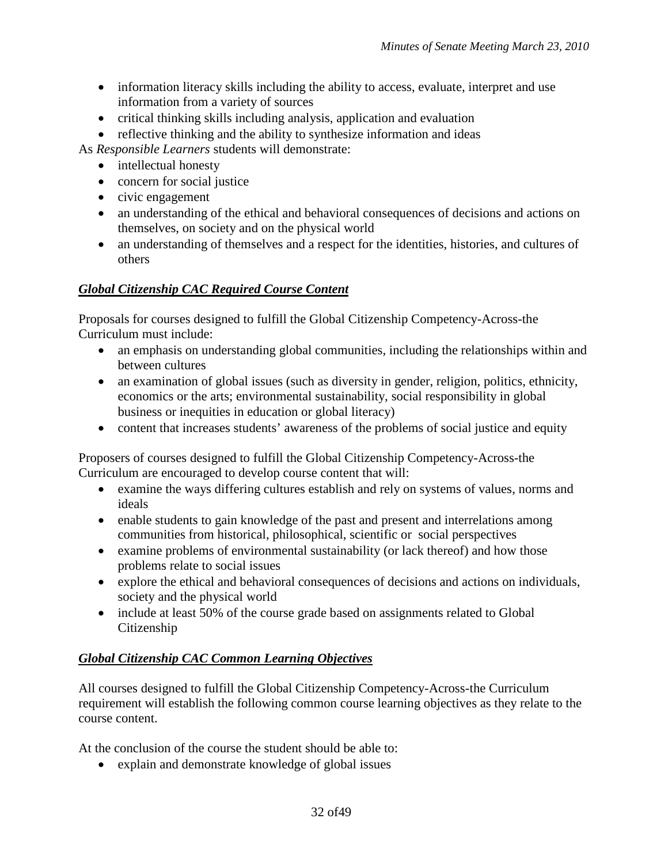- information literacy skills including the ability to access, evaluate, interpret and use information from a variety of sources
- critical thinking skills including analysis, application and evaluation
- reflective thinking and the ability to synthesize information and ideas

As *Responsible Learners* students will demonstrate:

- intellectual honesty
- concern for social justice
- civic engagement
- an understanding of the ethical and behavioral consequences of decisions and actions on themselves, on society and on the physical world
- an understanding of themselves and a respect for the identities, histories, and cultures of others

# *Global Citizenship CAC Required Course Content*

Proposals for courses designed to fulfill the Global Citizenship Competency-Across-the Curriculum must include:

- an emphasis on understanding global communities, including the relationships within and between cultures
- an examination of global issues (such as diversity in gender, religion, politics, ethnicity, economics or the arts; environmental sustainability, social responsibility in global business or inequities in education or global literacy)
- content that increases students' awareness of the problems of social justice and equity

Proposers of courses designed to fulfill the Global Citizenship Competency-Across-the Curriculum are encouraged to develop course content that will:

- examine the ways differing cultures establish and rely on systems of values, norms and ideals
- enable students to gain knowledge of the past and present and interrelations among communities from historical, philosophical, scientific or social perspectives
- examine problems of environmental sustainability (or lack thereof) and how those problems relate to social issues
- explore the ethical and behavioral consequences of decisions and actions on individuals, society and the physical world
- include at least 50% of the course grade based on assignments related to Global Citizenship

# *Global Citizenship CAC Common Learning Objectives*

All courses designed to fulfill the Global Citizenship Competency-Across-the Curriculum requirement will establish the following common course learning objectives as they relate to the course content.

At the conclusion of the course the student should be able to:

• explain and demonstrate knowledge of global issues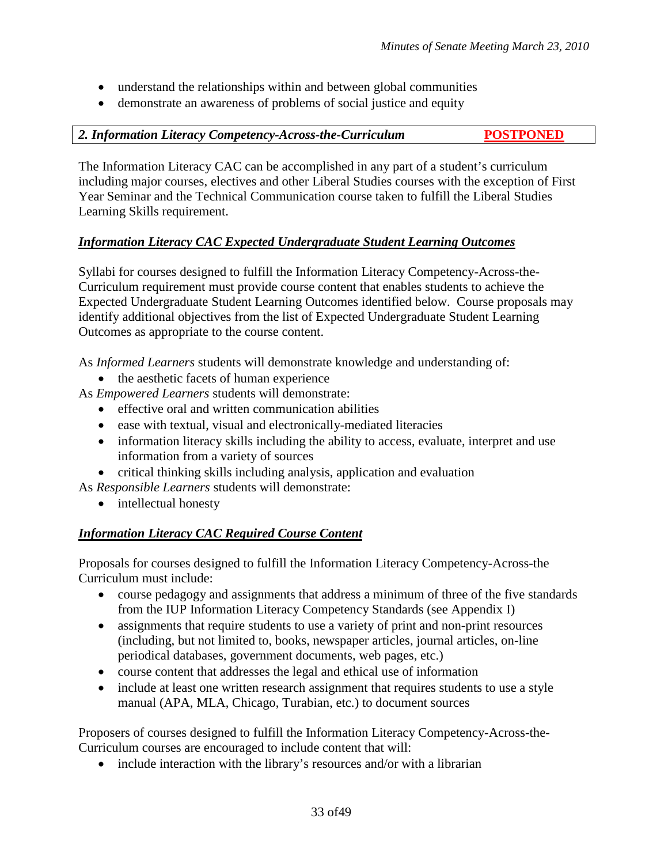- understand the relationships within and between global communities
- demonstrate an awareness of problems of social justice and equity

*2. Information Literacy Competency-Across-the-Curriculum* **POSTPONED**

The Information Literacy CAC can be accomplished in any part of a student's curriculum including major courses, electives and other Liberal Studies courses with the exception of First Year Seminar and the Technical Communication course taken to fulfill the Liberal Studies Learning Skills requirement.

# *Information Literacy CAC Expected Undergraduate Student Learning Outcomes*

Syllabi for courses designed to fulfill the Information Literacy Competency-Across-the-Curriculum requirement must provide course content that enables students to achieve the Expected Undergraduate Student Learning Outcomes identified below. Course proposals may identify additional objectives from the list of Expected Undergraduate Student Learning Outcomes as appropriate to the course content.

As *Informed Learners* students will demonstrate knowledge and understanding of:

• the aesthetic facets of human experience

As *Empowered Learners* students will demonstrate:

- effective oral and written communication abilities
- ease with textual, visual and electronically-mediated literacies
- information literacy skills including the ability to access, evaluate, interpret and use information from a variety of sources
- critical thinking skills including analysis, application and evaluation

As *Responsible Learners* students will demonstrate:

• intellectual honesty

# *Information Literacy CAC Required Course Content*

Proposals for courses designed to fulfill the Information Literacy Competency-Across-the Curriculum must include:

- course pedagogy and assignments that address a minimum of three of the five standards from the IUP Information Literacy Competency Standards (see Appendix I)
- assignments that require students to use a variety of print and non-print resources (including, but not limited to, books, newspaper articles, journal articles, on-line periodical databases, government documents, web pages, etc.)
- course content that addresses the legal and ethical use of information
- include at least one written research assignment that requires students to use a style manual (APA, MLA, Chicago, Turabian, etc.) to document sources

Proposers of courses designed to fulfill the Information Literacy Competency-Across-the-Curriculum courses are encouraged to include content that will:

• include interaction with the library's resources and/or with a librarian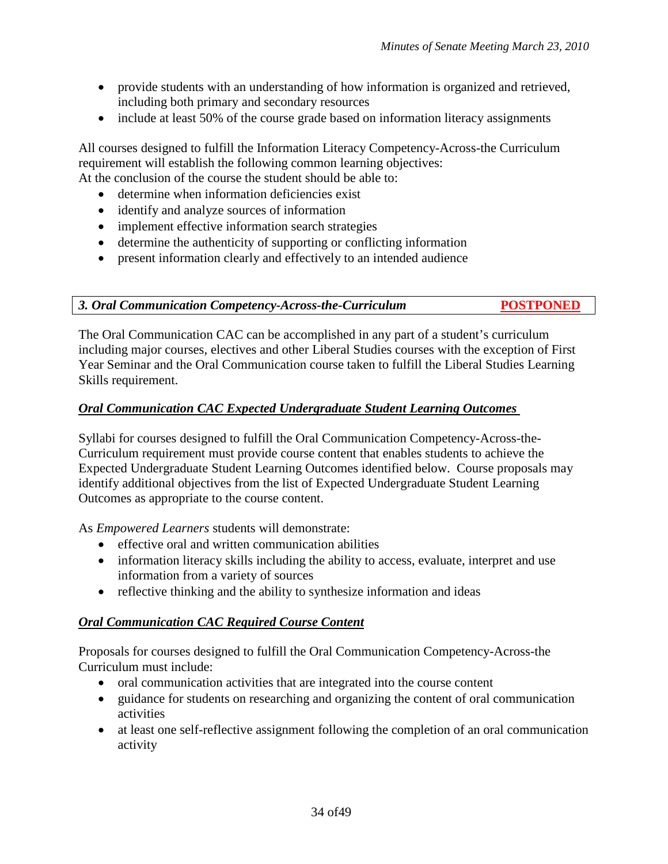- provide students with an understanding of how information is organized and retrieved, including both primary and secondary resources
- include at least 50% of the course grade based on information literacy assignments

All courses designed to fulfill the Information Literacy Competency-Across-the Curriculum requirement will establish the following common learning objectives: At the conclusion of the course the student should be able to:

- determine when information deficiencies exist
- identify and analyze sources of information
- implement effective information search strategies
- determine the authenticity of supporting or conflicting information
- present information clearly and effectively to an intended audience

*3. Oral Communication Competency-Across-the-Curriculum* **POSTPONED**

The Oral Communication CAC can be accomplished in any part of a student's curriculum including major courses, electives and other Liberal Studies courses with the exception of First Year Seminar and the Oral Communication course taken to fulfill the Liberal Studies Learning Skills requirement.

# *Oral Communication CAC Expected Undergraduate Student Learning Outcomes*

Syllabi for courses designed to fulfill the Oral Communication Competency-Across-the-Curriculum requirement must provide course content that enables students to achieve the Expected Undergraduate Student Learning Outcomes identified below. Course proposals may identify additional objectives from the list of Expected Undergraduate Student Learning Outcomes as appropriate to the course content.

As *Empowered Learners* students will demonstrate:

- effective oral and written communication abilities
- information literacy skills including the ability to access, evaluate, interpret and use information from a variety of sources
- reflective thinking and the ability to synthesize information and ideas

# *Oral Communication CAC Required Course Content*

Proposals for courses designed to fulfill the Oral Communication Competency-Across-the Curriculum must include:

- oral communication activities that are integrated into the course content
- guidance for students on researching and organizing the content of oral communication activities
- at least one self-reflective assignment following the completion of an oral communication activity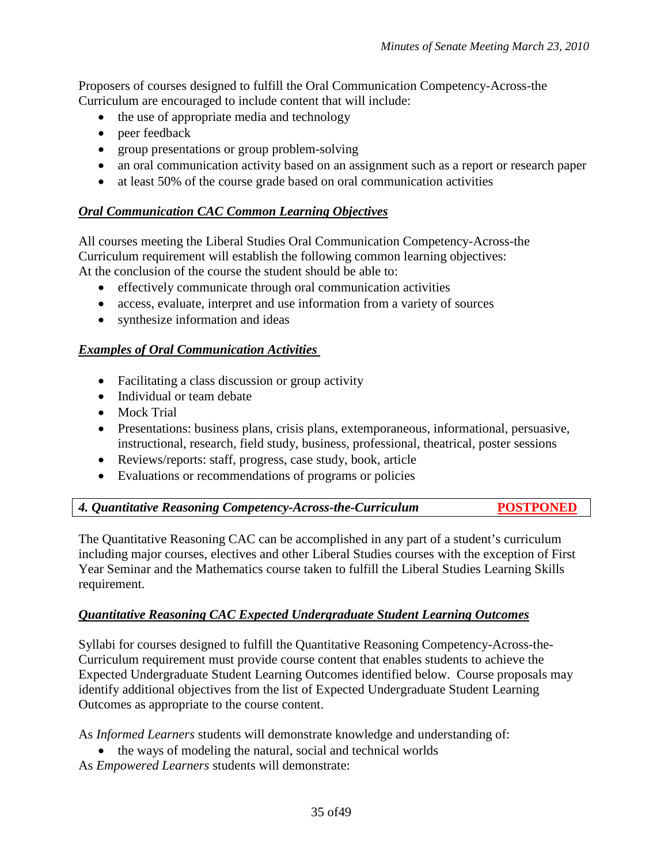Proposers of courses designed to fulfill the Oral Communication Competency-Across-the Curriculum are encouraged to include content that will include:

- the use of appropriate media and technology
- peer feedback
- group presentations or group problem-solving
- an oral communication activity based on an assignment such as a report or research paper
- at least 50% of the course grade based on oral communication activities

#### *Oral Communication CAC Common Learning Objectives*

All courses meeting the Liberal Studies Oral Communication Competency-Across-the Curriculum requirement will establish the following common learning objectives: At the conclusion of the course the student should be able to:

- effectively communicate through oral communication activities
- access, evaluate, interpret and use information from a variety of sources
- synthesize information and ideas

#### *Examples of Oral Communication Activities*

- Facilitating a class discussion or group activity
- Individual or team debate
- Mock Trial
- Presentations: business plans, crisis plans, extemporaneous, informational, persuasive, instructional, research, field study, business, professional, theatrical, poster sessions
- Reviews/reports: staff, progress, case study, book, article
- Evaluations or recommendations of programs or policies

| 4. Quantitative Reasoning Competency-Across-the-Curriculum | <b>POSTPONED</b> |
|------------------------------------------------------------|------------------|
|------------------------------------------------------------|------------------|

The Quantitative Reasoning CAC can be accomplished in any part of a student's curriculum including major courses, electives and other Liberal Studies courses with the exception of First Year Seminar and the Mathematics course taken to fulfill the Liberal Studies Learning Skills requirement.

# *Quantitative Reasoning CAC Expected Undergraduate Student Learning Outcomes*

Syllabi for courses designed to fulfill the Quantitative Reasoning Competency-Across-the-Curriculum requirement must provide course content that enables students to achieve the Expected Undergraduate Student Learning Outcomes identified below. Course proposals may identify additional objectives from the list of Expected Undergraduate Student Learning Outcomes as appropriate to the course content.

As *Informed Learners* students will demonstrate knowledge and understanding of:

- the ways of modeling the natural, social and technical worlds
- As *Empowered Learners* students will demonstrate: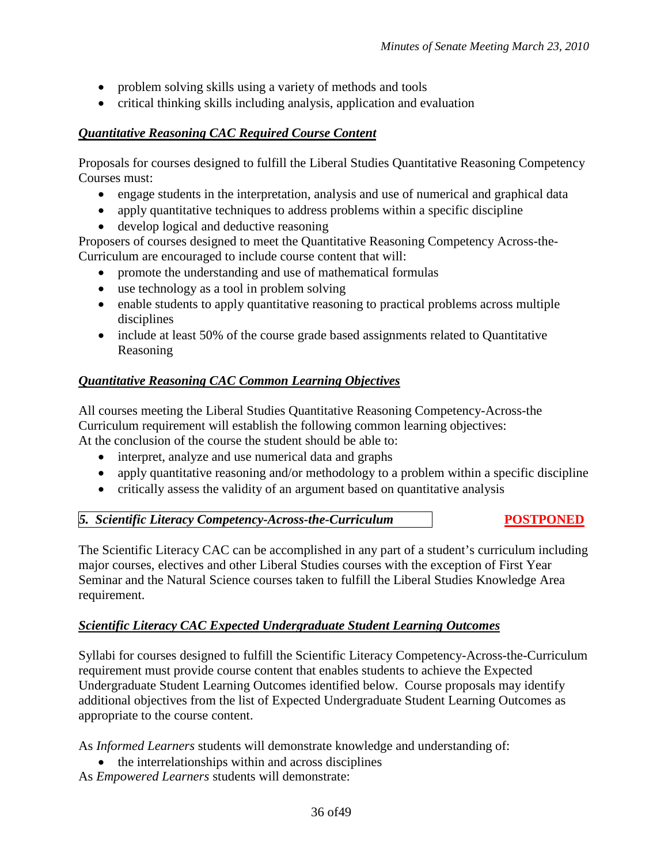- problem solving skills using a variety of methods and tools
- critical thinking skills including analysis, application and evaluation

# *Quantitative Reasoning CAC Required Course Content*

Proposals for courses designed to fulfill the Liberal Studies Quantitative Reasoning Competency Courses must:

- engage students in the interpretation, analysis and use of numerical and graphical data
- apply quantitative techniques to address problems within a specific discipline
- develop logical and deductive reasoning

Proposers of courses designed to meet the Quantitative Reasoning Competency Across-the-Curriculum are encouraged to include course content that will:

- promote the understanding and use of mathematical formulas
- use technology as a tool in problem solving
- enable students to apply quantitative reasoning to practical problems across multiple disciplines
- include at least 50% of the course grade based assignments related to Quantitative Reasoning

# *Quantitative Reasoning CAC Common Learning Objectives*

All courses meeting the Liberal Studies Quantitative Reasoning Competency-Across-the Curriculum requirement will establish the following common learning objectives: At the conclusion of the course the student should be able to:

- interpret, analyze and use numerical data and graphs
- apply quantitative reasoning and/or methodology to a problem within a specific discipline
- critically assess the validity of an argument based on quantitative analysis

# *5. Scientific Literacy Competency-Across-the-Curriculum* **POSTPONED**

The Scientific Literacy CAC can be accomplished in any part of a student's curriculum including major courses, electives and other Liberal Studies courses with the exception of First Year Seminar and the Natural Science courses taken to fulfill the Liberal Studies Knowledge Area requirement.

# *Scientific Literacy CAC Expected Undergraduate Student Learning Outcomes*

Syllabi for courses designed to fulfill the Scientific Literacy Competency-Across-the-Curriculum requirement must provide course content that enables students to achieve the Expected Undergraduate Student Learning Outcomes identified below. Course proposals may identify additional objectives from the list of Expected Undergraduate Student Learning Outcomes as appropriate to the course content.

As *Informed Learners* students will demonstrate knowledge and understanding of:

• the interrelationships within and across disciplines

As *Empowered Learners* students will demonstrate: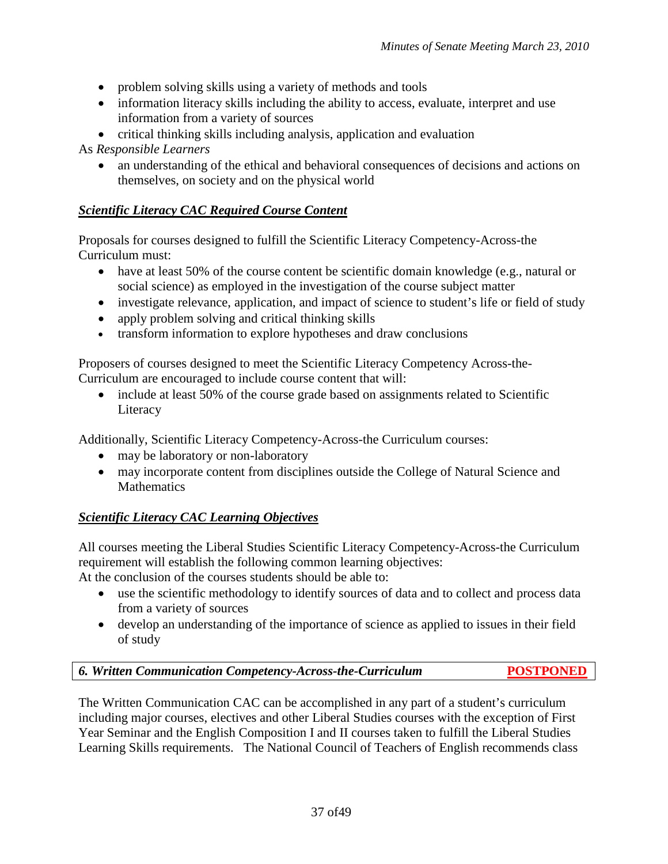- problem solving skills using a variety of methods and tools
- information literacy skills including the ability to access, evaluate, interpret and use information from a variety of sources
- critical thinking skills including analysis, application and evaluation

As *Responsible Learners*

• an understanding of the ethical and behavioral consequences of decisions and actions on themselves, on society and on the physical world

# *Scientific Literacy CAC Required Course Content*

Proposals for courses designed to fulfill the Scientific Literacy Competency-Across-the Curriculum must:

- have at least 50% of the course content be scientific domain knowledge (e.g., natural or social science) as employed in the investigation of the course subject matter
- investigate relevance, application, and impact of science to student's life or field of study
- apply problem solving and critical thinking skills
- transform information to explore hypotheses and draw conclusions

Proposers of courses designed to meet the Scientific Literacy Competency Across-the-Curriculum are encouraged to include course content that will:

• include at least 50% of the course grade based on assignments related to Scientific Literacy

Additionally, Scientific Literacy Competency-Across-the Curriculum courses:

- may be laboratory or non-laboratory
- may incorporate content from disciplines outside the College of Natural Science and **Mathematics**

# *Scientific Literacy CAC Learning Objectives*

All courses meeting the Liberal Studies Scientific Literacy Competency-Across-the Curriculum requirement will establish the following common learning objectives:

At the conclusion of the courses students should be able to:

- use the scientific methodology to identify sources of data and to collect and process data from a variety of sources
- develop an understanding of the importance of science as applied to issues in their field of study

*6. Written Communication Competency-Across-the-Curriculum* **POSTPONED**

The Written Communication CAC can be accomplished in any part of a student's curriculum including major courses, electives and other Liberal Studies courses with the exception of First Year Seminar and the English Composition I and II courses taken to fulfill the Liberal Studies Learning Skills requirements. The National Council of Teachers of English recommends class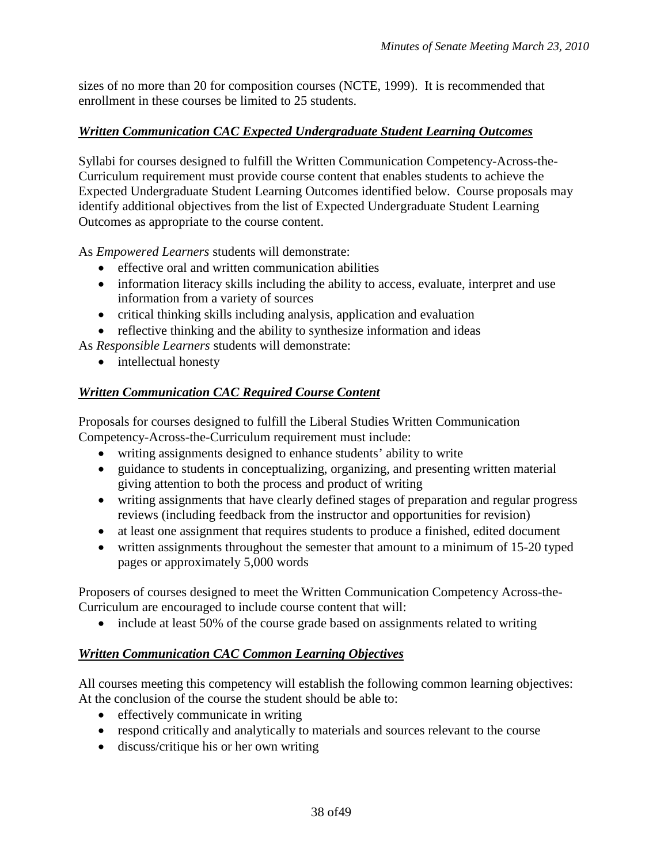sizes of no more than 20 for composition courses (NCTE, 1999). It is recommended that enrollment in these courses be limited to 25 students.

# *Written Communication CAC Expected Undergraduate Student Learning Outcomes*

Syllabi for courses designed to fulfill the Written Communication Competency-Across-the-Curriculum requirement must provide course content that enables students to achieve the Expected Undergraduate Student Learning Outcomes identified below. Course proposals may identify additional objectives from the list of Expected Undergraduate Student Learning Outcomes as appropriate to the course content.

As *Empowered Learners* students will demonstrate:

- effective oral and written communication abilities
- information literacy skills including the ability to access, evaluate, interpret and use information from a variety of sources
- critical thinking skills including analysis, application and evaluation
- reflective thinking and the ability to synthesize information and ideas

As *Responsible Learners* students will demonstrate:

• intellectual honesty

# *Written Communication CAC Required Course Content*

Proposals for courses designed to fulfill the Liberal Studies Written Communication Competency-Across-the-Curriculum requirement must include:

- writing assignments designed to enhance students' ability to write
- guidance to students in conceptualizing, organizing, and presenting written material giving attention to both the process and product of writing
- writing assignments that have clearly defined stages of preparation and regular progress reviews (including feedback from the instructor and opportunities for revision)
- at least one assignment that requires students to produce a finished, edited document
- written assignments throughout the semester that amount to a minimum of 15-20 typed pages or approximately 5,000 words

Proposers of courses designed to meet the Written Communication Competency Across-the-Curriculum are encouraged to include course content that will:

• include at least 50% of the course grade based on assignments related to writing

# *Written Communication CAC Common Learning Objectives*

All courses meeting this competency will establish the following common learning objectives: At the conclusion of the course the student should be able to:

- effectively communicate in writing
- respond critically and analytically to materials and sources relevant to the course
- discuss/critique his or her own writing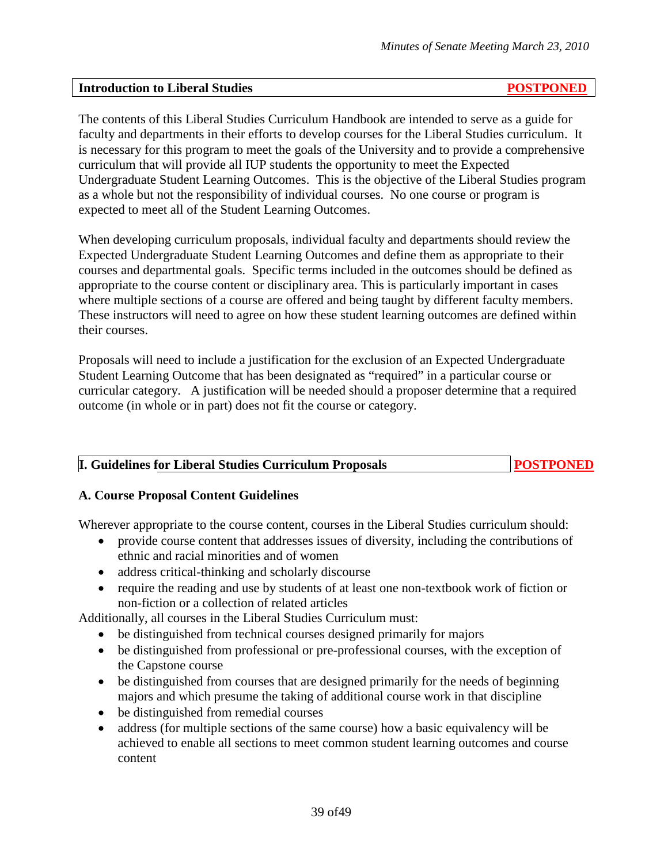#### **Introduction to Liberal Studies****POSTPONED**

The contents of this Liberal Studies Curriculum Handbook are intended to serve as a guide for faculty and departments in their efforts to develop courses for the Liberal Studies curriculum. It is necessary for this program to meet the goals of the University and to provide a comprehensive curriculum that will provide all IUP students the opportunity to meet the Expected Undergraduate Student Learning Outcomes. This is the objective of the Liberal Studies program as a whole but not the responsibility of individual courses. No one course or program is expected to meet all of the Student Learning Outcomes.

When developing curriculum proposals, individual faculty and departments should review the Expected Undergraduate Student Learning Outcomes and define them as appropriate to their courses and departmental goals. Specific terms included in the outcomes should be defined as appropriate to the course content or disciplinary area. This is particularly important in cases where multiple sections of a course are offered and being taught by different faculty members. These instructors will need to agree on how these student learning outcomes are defined within their courses.

Proposals will need to include a justification for the exclusion of an Expected Undergraduate Student Learning Outcome that has been designated as "required" in a particular course or curricular category. A justification will be needed should a proposer determine that a required outcome (in whole or in part) does not fit the course or category.

| <b>I. Guidelines for Liberal Studies Curriculum Proposals</b> | <b>POSTPONED</b> |
|---------------------------------------------------------------|------------------|
|---------------------------------------------------------------|------------------|

# **A. Course Proposal Content Guidelines**

Wherever appropriate to the course content, courses in the Liberal Studies curriculum should:

- provide course content that addresses issues of diversity, including the contributions of ethnic and racial minorities and of women
- address critical-thinking and scholarly discourse
- require the reading and use by students of at least one non-textbook work of fiction or non-fiction or a collection of related articles

Additionally, all courses in the Liberal Studies Curriculum must:

- be distinguished from technical courses designed primarily for majors
- be distinguished from professional or pre-professional courses, with the exception of the Capstone course
- be distinguished from courses that are designed primarily for the needs of beginning majors and which presume the taking of additional course work in that discipline
- be distinguished from remedial courses
- address (for multiple sections of the same course) how a basic equivalency will be achieved to enable all sections to meet common student learning outcomes and course content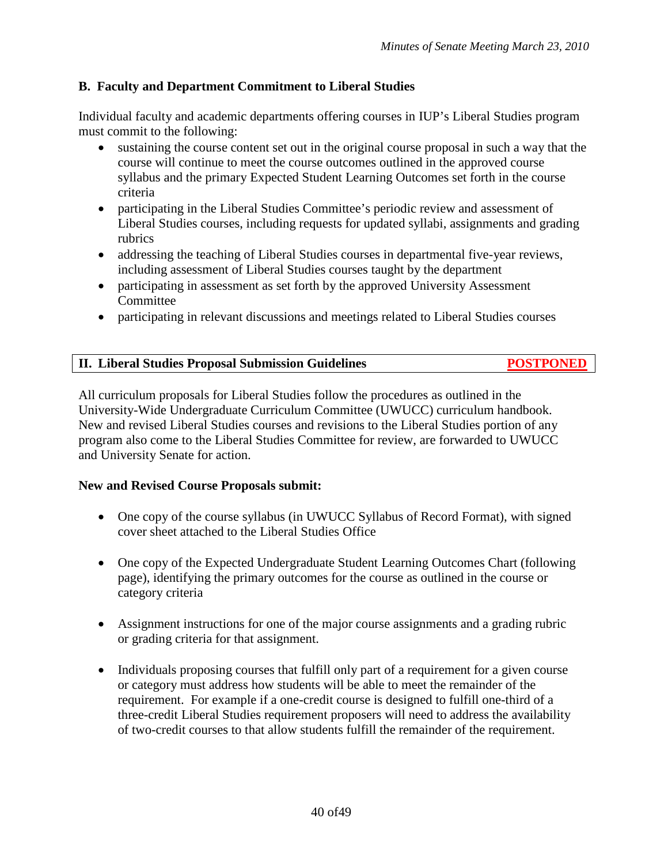# **B. Faculty and Department Commitment to Liberal Studies**

Individual faculty and academic departments offering courses in IUP's Liberal Studies program must commit to the following:

- sustaining the course content set out in the original course proposal in such a way that the course will continue to meet the course outcomes outlined in the approved course syllabus and the primary Expected Student Learning Outcomes set forth in the course criteria
- participating in the Liberal Studies Committee's periodic review and assessment of Liberal Studies courses, including requests for updated syllabi, assignments and grading rubrics
- addressing the teaching of Liberal Studies courses in departmental five-year reviews, including assessment of Liberal Studies courses taught by the department
- participating in assessment as set forth by the approved University Assessment Committee
- participating in relevant discussions and meetings related to Liberal Studies courses

| II. Liberal Studies Proposal Submission Guidelines | <b>POSTPONED</b> |
|----------------------------------------------------|------------------|
|                                                    |                  |

All curriculum proposals for Liberal Studies follow the procedures as outlined in the University-Wide Undergraduate Curriculum Committee (UWUCC) curriculum handbook. New and revised Liberal Studies courses and revisions to the Liberal Studies portion of any program also come to the Liberal Studies Committee for review, are forwarded to UWUCC and University Senate for action.

# **New and Revised Course Proposals submit:**

- One copy of the course syllabus (in UWUCC Syllabus of Record Format), with signed cover sheet attached to the Liberal Studies Office
- One copy of the Expected Undergraduate Student Learning Outcomes Chart (following page), identifying the primary outcomes for the course as outlined in the course or category criteria
- Assignment instructions for one of the major course assignments and a grading rubric or grading criteria for that assignment.
- Individuals proposing courses that fulfill only part of a requirement for a given course or category must address how students will be able to meet the remainder of the requirement. For example if a one-credit course is designed to fulfill one-third of a three-credit Liberal Studies requirement proposers will need to address the availability of two-credit courses to that allow students fulfill the remainder of the requirement.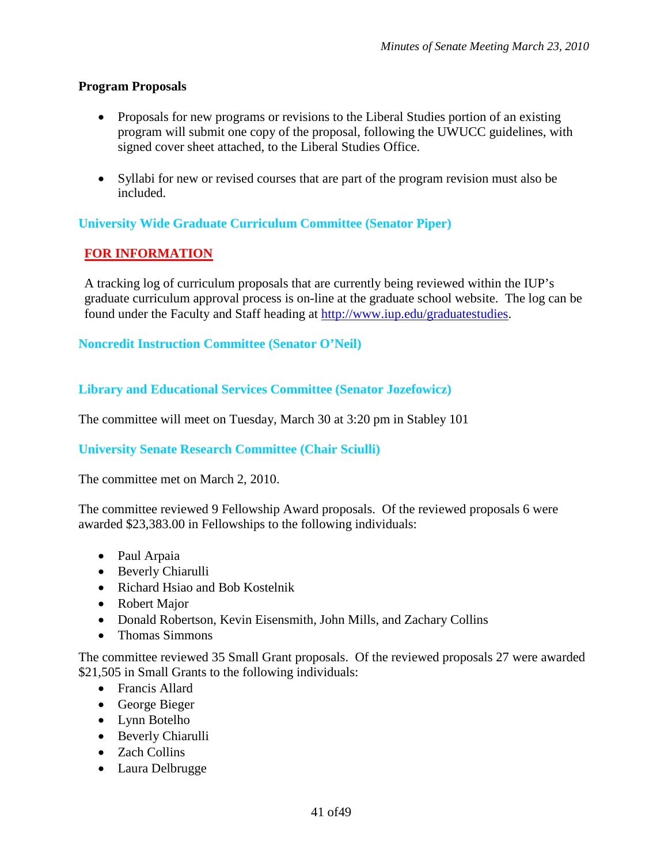# **Program Proposals**

- Proposals for new programs or revisions to the Liberal Studies portion of an existing program will submit one copy of the proposal, following the UWUCC guidelines, with signed cover sheet attached, to the Liberal Studies Office.
- Syllabi for new or revised courses that are part of the program revision must also be included.

# **University Wide Graduate Curriculum Committee (Senator Piper)**

# **FOR INFORMATION**

A tracking log of curriculum proposals that are currently being reviewed within the IUP's graduate curriculum approval process is on-line at the graduate school website. The log can be found under the Faculty and Staff heading at [http://www.iup.edu/graduatestudies.](http://www.iup.edu/graduatestudies)

# **Noncredit Instruction Committee (Senator O'Neil)**

**Library and Educational Services Committee (Senator Jozefowicz)**

The committee will meet on Tuesday, March 30 at 3:20 pm in Stabley 101

# **University Senate Research Committee (Chair Sciulli)**

The committee met on March 2, 2010.

The committee reviewed 9 Fellowship Award proposals. Of the reviewed proposals 6 were awarded \$23,383.00 in Fellowships to the following individuals:

- Paul Arpaia
- Beverly Chiarulli
- Richard Hsiao and Bob Kostelnik
- Robert Major
- Donald Robertson, Kevin Eisensmith, John Mills, and Zachary Collins
- Thomas Simmons

The committee reviewed 35 Small Grant proposals. Of the reviewed proposals 27 were awarded \$21,505 in Small Grants to the following individuals:

- Francis Allard
- George Bieger
- Lynn Botelho
- Beverly Chiarulli
- Zach Collins
- Laura Delbrugge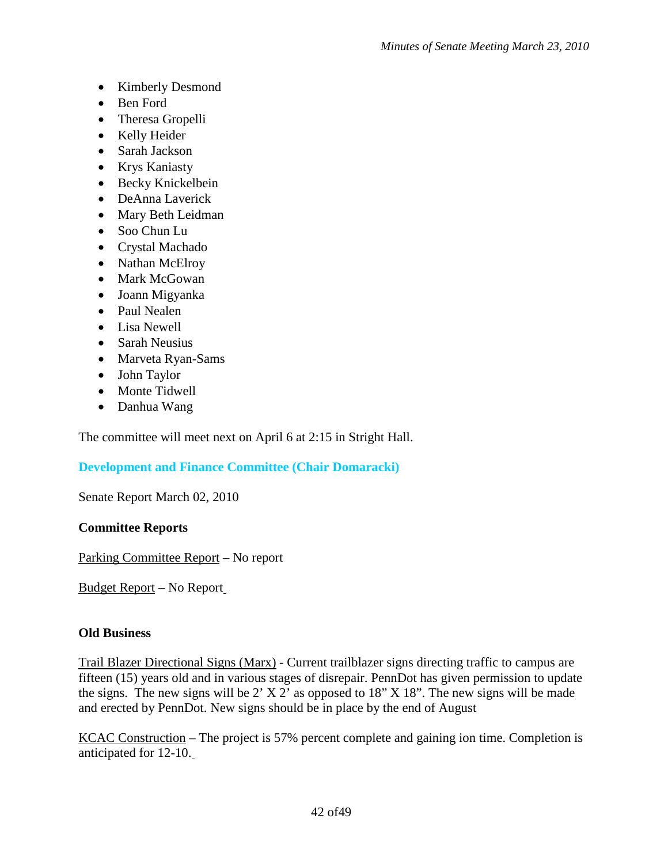- Kimberly Desmond
- Ben Ford
- Theresa Gropelli
- Kelly Heider
- Sarah Jackson
- Krys Kaniasty
- Becky Knickelbein
- DeAnna Laverick
- Mary Beth Leidman
- Soo Chun Lu
- Crystal Machado
- Nathan McElroy
- Mark McGowan
- Joann Migyanka
- Paul Nealen
- Lisa Newell
- Sarah Neusius
- Marveta Ryan-Sams
- John Taylor
- Monte Tidwell
- Danhua Wang

The committee will meet next on April 6 at 2:15 in Stright Hall.

# **Development and Finance Committee (Chair Domaracki)**

Senate Report March 02, 2010

# **Committee Reports**

Parking Committee Report – No report

Budget Report – No Report

# **Old Business**

Trail Blazer Directional Signs (Marx) - Current trailblazer signs directing traffic to campus are fifteen (15) years old and in various stages of disrepair. PennDot has given permission to update the signs. The new signs will be  $2'$  X  $2'$  as opposed to 18" X 18". The new signs will be made and erected by PennDot. New signs should be in place by the end of August

KCAC Construction – The project is 57% percent complete and gaining ion time. Completion is anticipated for 12-10.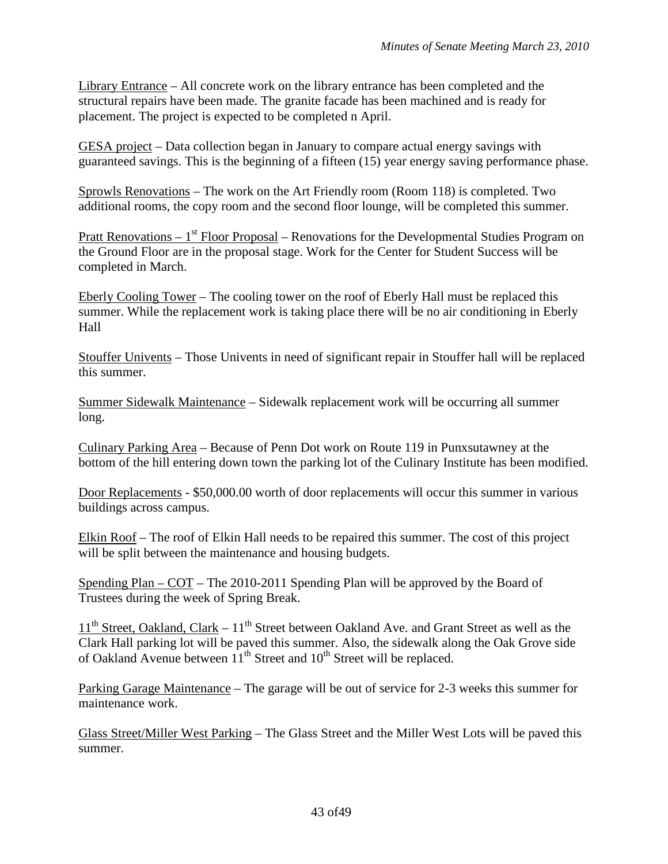Library Entrance – All concrete work on the library entrance has been completed and the structural repairs have been made. The granite facade has been machined and is ready for placement. The project is expected to be completed n April.

GESA project – Data collection began in January to compare actual energy savings with guaranteed savings. This is the beginning of a fifteen (15) year energy saving performance phase.

Sprowls Renovations – The work on the Art Friendly room (Room 118) is completed. Two additional rooms, the copy room and the second floor lounge, will be completed this summer.

Pratt Renovations –  $1<sup>st</sup>$  Floor Proposal – Renovations for the Developmental Studies Program on the Ground Floor are in the proposal stage. Work for the Center for Student Success will be completed in March.

Eberly Cooling Tower – The cooling tower on the roof of Eberly Hall must be replaced this summer. While the replacement work is taking place there will be no air conditioning in Eberly Hall

Stouffer Univents – Those Univents in need of significant repair in Stouffer hall will be replaced this summer.

Summer Sidewalk Maintenance – Sidewalk replacement work will be occurring all summer long.

Culinary Parking Area – Because of Penn Dot work on Route 119 in Punxsutawney at the bottom of the hill entering down town the parking lot of the Culinary Institute has been modified.

Door Replacements - \$50,000.00 worth of door replacements will occur this summer in various buildings across campus.

Elkin Roof – The roof of Elkin Hall needs to be repaired this summer. The cost of this project will be split between the maintenance and housing budgets.

Spending Plan – COT – The 2010-2011 Spending Plan will be approved by the Board of Trustees during the week of Spring Break.

 $11<sup>th</sup> Street, Oakland, Clark - 11<sup>th</sup> Street between Oakland Ave.$  and Grant Street as well as the Clark Hall parking lot will be paved this summer. Also, the sidewalk along the Oak Grove side of Oakland Avenue between  $11<sup>th</sup>$  Street and  $10<sup>th</sup>$  Street will be replaced.

Parking Garage Maintenance – The garage will be out of service for 2-3 weeks this summer for maintenance work.

Glass Street/Miller West Parking – The Glass Street and the Miller West Lots will be paved this summer.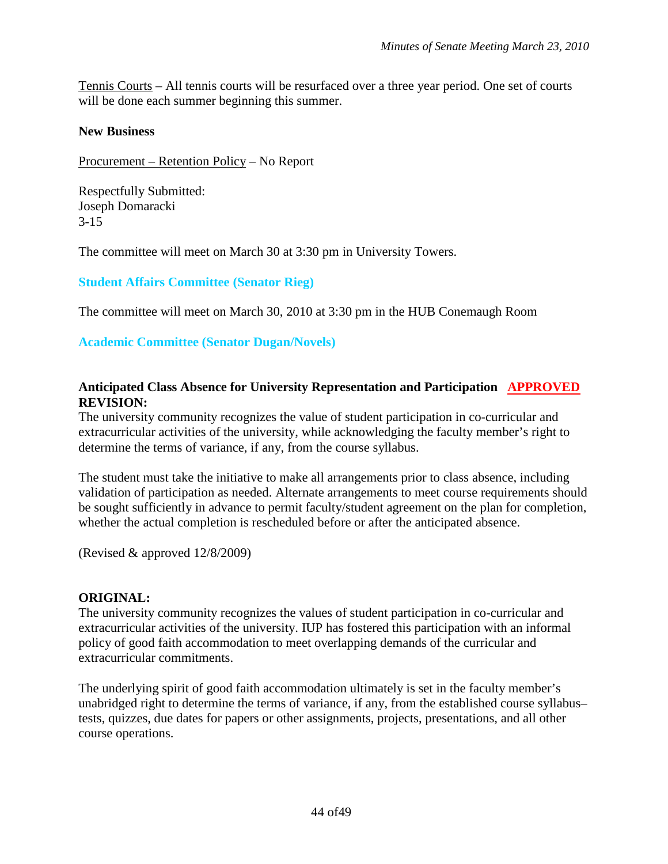Tennis Courts – All tennis courts will be resurfaced over a three year period. One set of courts will be done each summer beginning this summer.

#### **New Business**

Procurement – Retention Policy – No Report

Respectfully Submitted: Joseph Domaracki 3-15

The committee will meet on March 30 at 3:30 pm in University Towers.

**Student Affairs Committee (Senator Rieg)**

The committee will meet on March 30, 2010 at 3:30 pm in the HUB Conemaugh Room

#### **Academic Committee (Senator Dugan/Novels)**

#### **Anticipated Class Absence for University Representation and Participation APPROVED REVISION:**

The university community recognizes the value of student participation in co-curricular and extracurricular activities of the university, while acknowledging the faculty member's right to determine the terms of variance, if any, from the course syllabus.

The student must take the initiative to make all arrangements prior to class absence, including validation of participation as needed. Alternate arrangements to meet course requirements should be sought sufficiently in advance to permit faculty/student agreement on the plan for completion, whether the actual completion is rescheduled before or after the anticipated absence.

(Revised & approved 12/8/2009)

#### **ORIGINAL:**

The university community recognizes the values of student participation in co-curricular and extracurricular activities of the university. IUP has fostered this participation with an informal policy of good faith accommodation to meet overlapping demands of the curricular and extracurricular commitments.

The underlying spirit of good faith accommodation ultimately is set in the faculty member's unabridged right to determine the terms of variance, if any, from the established course syllabus– tests, quizzes, due dates for papers or other assignments, projects, presentations, and all other course operations.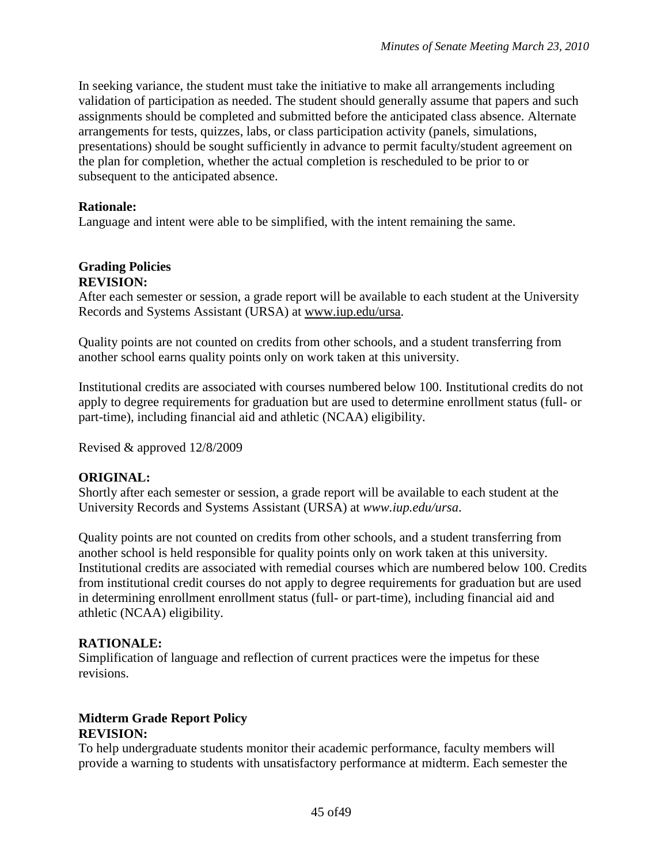In seeking variance, the student must take the initiative to make all arrangements including validation of participation as needed. The student should generally assume that papers and such assignments should be completed and submitted before the anticipated class absence. Alternate arrangements for tests, quizzes, labs, or class participation activity (panels, simulations, presentations) should be sought sufficiently in advance to permit faculty/student agreement on the plan for completion, whether the actual completion is rescheduled to be prior to or subsequent to the anticipated absence.

#### **Rationale:**

Language and intent were able to be simplified, with the intent remaining the same.

#### **Grading Policies REVISION:**

After each semester or session, a grade report will be available to each student at the University Records and Systems Assistant (URSA) at [www.iup.edu/ursa.](http://www.iup.edu/ursa)

Quality points are not counted on credits from other schools, and a student transferring from another school earns quality points only on work taken at this university.

Institutional credits are associated with courses numbered below 100. Institutional credits do not apply to degree requirements for graduation but are used to determine enrollment status (full- or part-time), including financial aid and athletic (NCAA) eligibility.

Revised & approved 12/8/2009

# **ORIGINAL:**

Shortly after each semester or session, a grade report will be available to each student at the University Records and Systems Assistant (URSA) at *www.iup.edu/ursa*.

Quality points are not counted on credits from other schools, and a student transferring from another school is held responsible for quality points only on work taken at this university. Institutional credits are associated with remedial courses which are numbered below 100. Credits from institutional credit courses do not apply to degree requirements for graduation but are used in determining enrollment enrollment status (full- or part-time), including financial aid and athletic (NCAA) eligibility.

#### **RATIONALE:**

Simplification of language and reflection of current practices were the impetus for these revisions.

# **Midterm Grade Report Policy REVISION:**

To help undergraduate students monitor their academic performance, faculty members will provide a warning to students with unsatisfactory performance at midterm. Each semester the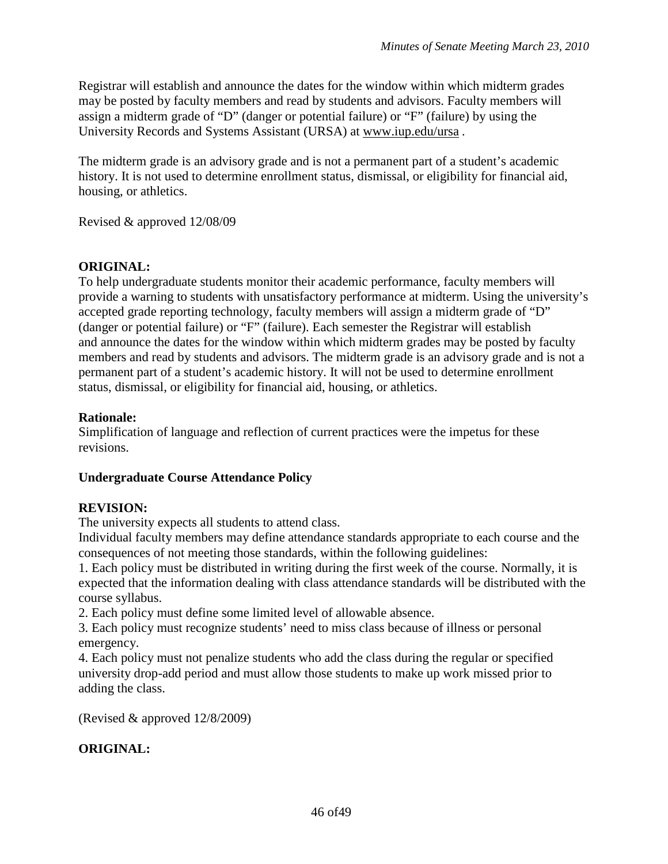Registrar will establish and announce the dates for the window within which midterm grades may be posted by faculty members and read by students and advisors. Faculty members will assign a midterm grade of "D" (danger or potential failure) or "F" (failure) by using the University Records and Systems Assistant (URSA) at [www.iup.edu/ursa](http://www.iup.edu/ursa) *.*

The midterm grade is an advisory grade and is not a permanent part of a student's academic history. It is not used to determine enrollment status, dismissal, or eligibility for financial aid, housing, or athletics.

Revised & approved 12/08/09

# **ORIGINAL:**

To help undergraduate students monitor their academic performance, faculty members will provide a warning to students with unsatisfactory performance at midterm. Using the university's accepted grade reporting technology, faculty members will assign a midterm grade of "D" (danger or potential failure) or "F" (failure). Each semester the Registrar will establish and announce the dates for the window within which midterm grades may be posted by faculty members and read by students and advisors. The midterm grade is an advisory grade and is not a permanent part of a student's academic history. It will not be used to determine enrollment status, dismissal, or eligibility for financial aid, housing, or athletics.

#### **Rationale:**

Simplification of language and reflection of current practices were the impetus for these revisions.

# **Undergraduate Course Attendance Policy**

# **REVISION:**

The university expects all students to attend class.

Individual faculty members may define attendance standards appropriate to each course and the consequences of not meeting those standards, within the following guidelines:

1. Each policy must be distributed in writing during the first week of the course. Normally, it is expected that the information dealing with class attendance standards will be distributed with the course syllabus.

2. Each policy must define some limited level of allowable absence.

3. Each policy must recognize students' need to miss class because of illness or personal emergency.

4. Each policy must not penalize students who add the class during the regular or specified university drop-add period and must allow those students to make up work missed prior to adding the class.

(Revised & approved 12/8/2009)

# **ORIGINAL:**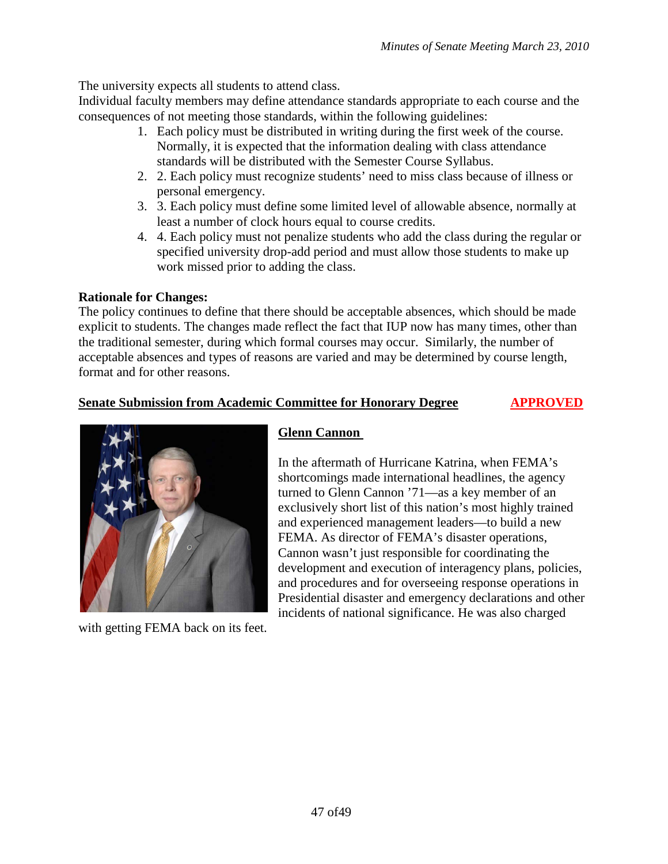The university expects all students to attend class.

Individual faculty members may define attendance standards appropriate to each course and the consequences of not meeting those standards, within the following guidelines:

- 1. Each policy must be distributed in writing during the first week of the course. Normally, it is expected that the information dealing with class attendance standards will be distributed with the Semester Course Syllabus.
- 2. 2. Each policy must recognize students' need to miss class because of illness or personal emergency.
- 3. 3. Each policy must define some limited level of allowable absence, normally at least a number of clock hours equal to course credits.
- 4. 4. Each policy must not penalize students who add the class during the regular or specified university drop-add period and must allow those students to make up work missed prior to adding the class.

# **Rationale for Changes:**

The policy continues to define that there should be acceptable absences, which should be made explicit to students. The changes made reflect the fact that IUP now has many times, other than the traditional semester, during which formal courses may occur. Similarly, the number of acceptable absences and types of reasons are varied and may be determined by course length, format and for other reasons.

# **Senate Submission from Academic Committee for Honorary Degree APPROVED**



with getting FEMA back on its feet.

# **Glenn Cannon**

In the aftermath of Hurricane Katrina, when FEMA's shortcomings made international headlines, the agency turned to Glenn Cannon '71—as a key member of an exclusively short list of this nation's most highly trained and experienced management leaders—to build a new FEMA. As director of FEMA's disaster operations, Cannon wasn't just responsible for coordinating the development and execution of interagency plans, policies, and procedures and for overseeing response operations in Presidential disaster and emergency declarations and other incidents of national significance. He was also charged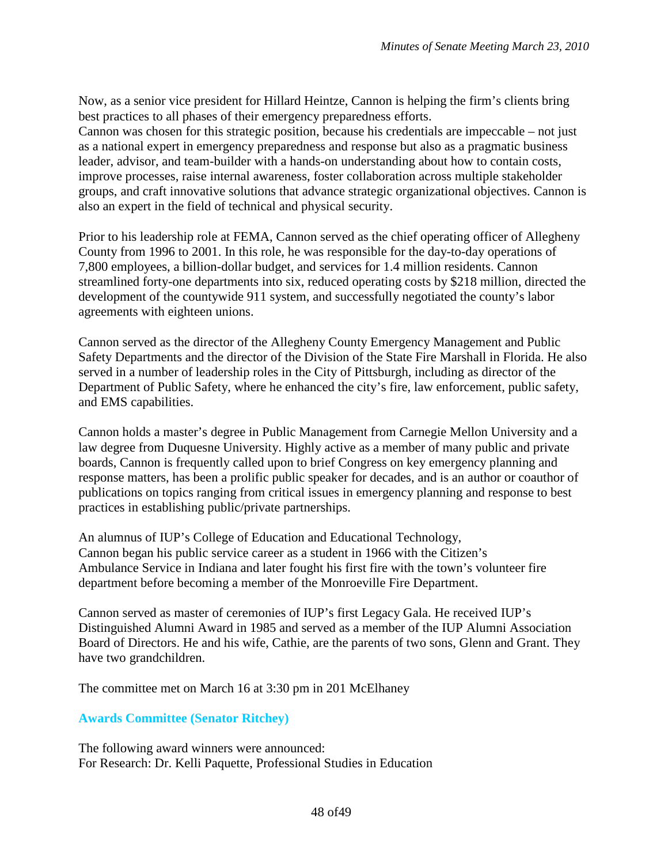Now, as a senior vice president for Hillard Heintze, Cannon is helping the firm's clients bring best practices to all phases of their emergency preparedness efforts.

Cannon was chosen for this strategic position, because his credentials are impeccable – not just as a national expert in emergency preparedness and response but also as a pragmatic business leader, advisor, and team-builder with a hands-on understanding about how to contain costs, improve processes, raise internal awareness, foster collaboration across multiple stakeholder groups, and craft innovative solutions that advance strategic organizational objectives. Cannon is also an expert in the field of technical and physical security.

Prior to his leadership role at FEMA, Cannon served as the chief operating officer of Allegheny County from 1996 to 2001. In this role, he was responsible for the day-to-day operations of 7,800 employees, a billion-dollar budget, and services for 1.4 million residents. Cannon streamlined forty-one departments into six, reduced operating costs by \$218 million, directed the development of the countywide 911 system, and successfully negotiated the county's labor agreements with eighteen unions.

Cannon served as the director of the Allegheny County Emergency Management and Public Safety Departments and the director of the Division of the State Fire Marshall in Florida. He also served in a number of leadership roles in the City of Pittsburgh, including as director of the Department of Public Safety, where he enhanced the city's fire, law enforcement, public safety, and EMS capabilities.

Cannon holds a master's degree in Public Management from Carnegie Mellon University and a law degree from Duquesne University. Highly active as a member of many public and private boards, Cannon is frequently called upon to brief Congress on key emergency planning and response matters, has been a prolific public speaker for decades, and is an author or coauthor of publications on topics ranging from critical issues in emergency planning and response to best practices in establishing public/private partnerships.

An alumnus of IUP's College of Education and Educational Technology, Cannon began his public service career as a student in 1966 with the Citizen's Ambulance Service in Indiana and later fought his first fire with the town's volunteer fire department before becoming a member of the Monroeville Fire Department.

Cannon served as master of ceremonies of IUP's first Legacy Gala. He received IUP's Distinguished Alumni Award in 1985 and served as a member of the IUP Alumni Association Board of Directors. He and his wife, Cathie, are the parents of two sons, Glenn and Grant. They have two grandchildren.

The committee met on March 16 at 3:30 pm in 201 McElhaney

#### **Awards Committee (Senator Ritchey)**

The following award winners were announced: For Research: Dr. Kelli Paquette, Professional Studies in Education